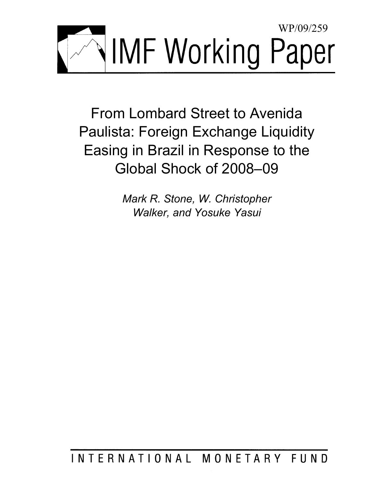

From Lombard Street to Avenida Paulista: Foreign Exchange Liquidity Easing in Brazil in Response to the Global Shock of 2008–09

> *Mark R. Stone, W. Christopher Walker, and Yosuke Yasui*

# INTERNATIONAL MONETARY FUND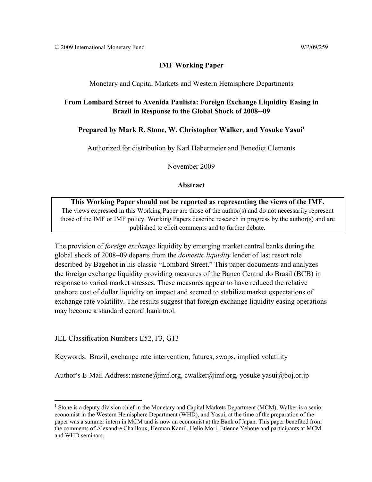## Monetary and Capital Markets and Western Hemisphere Departments

# **From Lombard Street to Avenida Paulista: Foreign Exchange Liquidity Easing in Brazil in Response to the Global Shock of 2008--09**

# Prepared by Mark R. Stone, W. Christopher Walker, and Yosuke Yasui<sup>1</sup>

Authorized for distribution by Karl Habermeier and Benedict Clements

November 2009

## **Abstract**

**This Working Paper should not be reported as representing the views of the IMF.** The views expressed in this Working Paper are those of the author(s) and do not necessarily represent those of the IMF or IMF policy. Working Papers describe research in progress by the author(s) and are published to elicit comments and to further debate.

The provision of *foreign exchange* liquidity by emerging market central banks during the global shock of 2008–09 departs from the *domestic liquidity* lender of last resort role described by Bagehot in his classic "Lombard Street." This paper documents and analyzes the foreign exchange liquidity providing measures of the Banco Central do Brasil (BCB) in response to varied market stresses. These measures appear to have reduced the relative onshore cost of dollar liquidity on impact and seemed to stabilize market expectations of exchange rate volatility. The results suggest that foreign exchange liquidity easing operations may become a standard central bank tool.

JEL Classification Numbers E52, F3, G13

 $\overline{a}$ 

Keywords: Brazil, exchange rate intervention, futures, swaps, implied volatility

Author's E-Mail Address: mstone@imf.org, cwalker@imf.org, yosuke.yasui@boj.or.jp

<sup>&</sup>lt;sup>1</sup> Stone is a deputy division chief in the Monetary and Capital Markets Department (MCM), Walker is a senior economist in the Western Hemisphere Department (WHD), and Yasui, at the time of the preparation of the paper was a summer intern in MCM and is now an economist at the Bank of Japan. This paper benefited from the comments of Alexandre Chailloux, Herman Kamil, Helio Mori, Etienne Yehoue and participants at MCM and WHD seminars.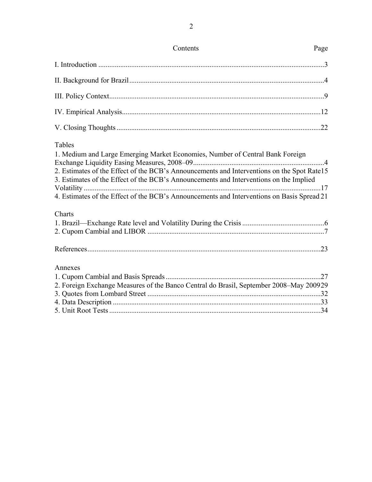| Contents                                                                                                                                                                                                                                                                                                                                                                      | Page |
|-------------------------------------------------------------------------------------------------------------------------------------------------------------------------------------------------------------------------------------------------------------------------------------------------------------------------------------------------------------------------------|------|
|                                                                                                                                                                                                                                                                                                                                                                               |      |
|                                                                                                                                                                                                                                                                                                                                                                               |      |
|                                                                                                                                                                                                                                                                                                                                                                               |      |
|                                                                                                                                                                                                                                                                                                                                                                               |      |
|                                                                                                                                                                                                                                                                                                                                                                               |      |
| Tables<br>1. Medium and Large Emerging Market Economies, Number of Central Bank Foreign<br>2. Estimates of the Effect of the BCB's Announcements and Interventions on the Spot Rate15<br>3. Estimates of the Effect of the BCB's Announcements and Interventions on the Implied<br>4. Estimates of the Effect of the BCB's Announcements and Interventions on Basis Spread 21 |      |
| Charts                                                                                                                                                                                                                                                                                                                                                                        |      |
|                                                                                                                                                                                                                                                                                                                                                                               |      |
|                                                                                                                                                                                                                                                                                                                                                                               |      |
| Annexes<br>2. Foreign Exchange Measures of the Banco Central do Brasil, September 2008-May 200929                                                                                                                                                                                                                                                                             |      |
|                                                                                                                                                                                                                                                                                                                                                                               |      |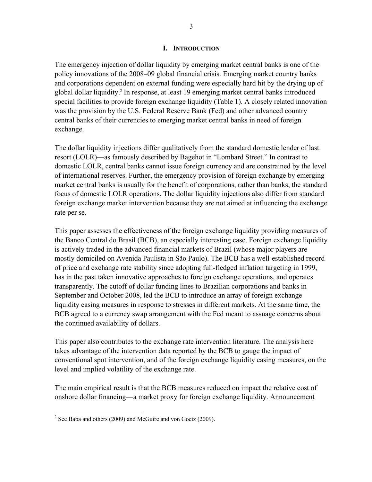#### **I. INTRODUCTION**

The emergency injection of dollar liquidity by emerging market central banks is one of the policy innovations of the 2008–09 global financial crisis. Emerging market country banks and corporations dependent on external funding were especially hard hit by the drying up of global dollar liquidity.<sup>2</sup> In response, at least 19 emerging market central banks introduced special facilities to provide foreign exchange liquidity (Table 1). A closely related innovation was the provision by the U.S. Federal Reserve Bank (Fed) and other advanced country central banks of their currencies to emerging market central banks in need of foreign exchange.

The dollar liquidity injections differ qualitatively from the standard domestic lender of last resort (LOLR)—as famously described by Bagehot in "Lombard Street." In contrast to domestic LOLR, central banks cannot issue foreign currency and are constrained by the level of international reserves. Further, the emergency provision of foreign exchange by emerging market central banks is usually for the benefit of corporations, rather than banks, the standard focus of domestic LOLR operations. The dollar liquidity injections also differ from standard foreign exchange market intervention because they are not aimed at influencing the exchange rate per se.

This paper assesses the effectiveness of the foreign exchange liquidity providing measures of the Banco Central do Brasil (BCB), an especially interesting case. Foreign exchange liquidity is actively traded in the advanced financial markets of Brazil (whose major players are mostly domiciled on Avenida Paulista in São Paulo). The BCB has a well-established record of price and exchange rate stability since adopting full-fledged inflation targeting in 1999, has in the past taken innovative approaches to foreign exchange operations, and operates transparently. The cutoff of dollar funding lines to Brazilian corporations and banks in September and October 2008, led the BCB to introduce an array of foreign exchange liquidity easing measures in response to stresses in different markets. At the same time, the BCB agreed to a currency swap arrangement with the Fed meant to assuage concerns about the continued availability of dollars.

This paper also contributes to the exchange rate intervention literature. The analysis here takes advantage of the intervention data reported by the BCB to gauge the impact of conventional spot intervention, and of the foreign exchange liquidity easing measures, on the level and implied volatility of the exchange rate.

The main empirical result is that the BCB measures reduced on impact the relative cost of onshore dollar financing—a market proxy for foreign exchange liquidity. Announcement

<sup>&</sup>lt;sup>2</sup> See Baba and others (2009) and McGuire and von Goetz (2009).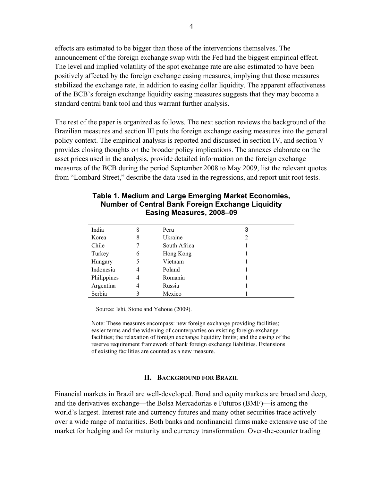effects are estimated to be bigger than those of the interventions themselves. The announcement of the foreign exchange swap with the Fed had the biggest empirical effect. The level and implied volatility of the spot exchange rate are also estimated to have been positively affected by the foreign exchange easing measures, implying that those measures stabilized the exchange rate, in addition to easing dollar liquidity. The apparent effectiveness of the BCB's foreign exchange liquidity easing measures suggests that they may become a standard central bank tool and thus warrant further analysis.

The rest of the paper is organized as follows. The next section reviews the background of the Brazilian measures and section III puts the foreign exchange easing measures into the general policy context. The empirical analysis is reported and discussed in section IV, and section V provides closing thoughts on the broader policy implications. The annexes elaborate on the asset prices used in the analysis, provide detailed information on the foreign exchange measures of the BCB during the period September 2008 to May 2009, list the relevant quotes from "Lombard Street," describe the data used in the regressions, and report unit root tests.

| India       | 8 | Peru         | 3 |  |
|-------------|---|--------------|---|--|
| Korea       | 8 | Ukraine      | 2 |  |
| Chile       |   | South Africa |   |  |
| Turkey      | 6 | Hong Kong    |   |  |
| Hungary     | 5 | Vietnam      |   |  |
| Indonesia   | 4 | Poland       |   |  |
| Philippines | 4 | Romania      |   |  |
| Argentina   | 4 | Russia       |   |  |
| Serbia      |   | Mexico       |   |  |

### **Table 1. Medium and Large Emerging Market Economies, Number of Central Bank Foreign Exchange Liquidity Easing Measures, 2008–09**

Source: Ishi, Stone and Yehoue (2009).

Note: These measures encompass: new foreign exchange providing facilities; easier terms and the widening of counterparties on existing foreign exchange facilities; the relaxation of foreign exchange liquidity limits; and the easing of the reserve requirement framework of bank foreign exchange liabilities. Extensions of existing facilities are counted as a new measure.

#### **II. BACKGROUND FOR BRAZIL**

Financial markets in Brazil are well-developed. Bond and equity markets are broad and deep, and the derivatives exchange—the Bolsa Mercadorias e Futuros (BMF)—is among the world's largest. Interest rate and currency futures and many other securities trade actively over a wide range of maturities. Both banks and nonfinancial firms make extensive use of the market for hedging and for maturity and currency transformation. Over-the-counter trading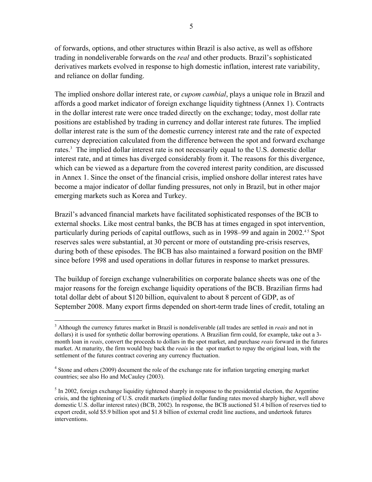of forwards, options, and other structures within Brazil is also active, as well as offshore trading in nondeliverable forwards on the *real* and other products. Brazil's sophisticated derivatives markets evolved in response to high domestic inflation, interest rate variability, and reliance on dollar funding.

The implied onshore dollar interest rate, or *cupom cambial*, plays a unique role in Brazil and affords a good market indicator of foreign exchange liquidity tightness (Annex 1). Contracts in the dollar interest rate were once traded directly on the exchange; today, most dollar rate positions are established by trading in currency and dollar interest rate futures. The implied dollar interest rate is the sum of the domestic currency interest rate and the rate of expected currency depreciation calculated from the difference between the spot and forward exchange rates.<sup>3</sup> The implied dollar interest rate is not necessarily equal to the U.S. domestic dollar interest rate, and at times has diverged considerably from it. The reasons for this divergence, which can be viewed as a departure from the covered interest parity condition, are discussed in Annex 1. Since the onset of the financial crisis, implied onshore dollar interest rates have become a major indicator of dollar funding pressures, not only in Brazil, but in other major emerging markets such as Korea and Turkey.

Brazil's advanced financial markets have facilitated sophisticated responses of the BCB to external shocks. Like most central banks, the BCB has at times engaged in spot intervention, particularly during periods of capital outflows, such as in 1998–99 and again in 2002.<sup>45</sup> Spot reserves sales were substantial, at 30 percent or more of outstanding pre-crisis reserves, during both of these episodes. The BCB has also maintained a forward position on the BMF since before 1998 and used operations in dollar futures in response to market pressures.

The buildup of foreign exchange vulnerabilities on corporate balance sheets was one of the major reasons for the foreign exchange liquidity operations of the BCB. Brazilian firms had total dollar debt of about \$120 billion, equivalent to about 8 percent of GDP, as of September 2008. Many export firms depended on short-term trade lines of credit, totaling an

<sup>1</sup> 3 Although the currency futures market in Brazil is nondeliverable (all trades are settled in *reais* and not in dollars) it is used for synthetic dollar borrowing operations. A Brazilian firm could, for example, take out a 3 month loan in *reais*, convert the proceeds to dollars in the spot market, and purchase *reais* forward in the futures market. At maturity, the firm would buy back the *reais* in the spot market to repay the original loan, with the settlement of the futures contract covering any currency fluctuation.

<sup>&</sup>lt;sup>4</sup> Stone and others (2009) document the role of the exchange rate for inflation targeting emerging market countries; see also Ho and McCauley (2003).

 $<sup>5</sup>$  In 2002, foreign exchange liquidity tightened sharply in response to the presidential election, the Argentine</sup> crisis, and the tightening of U.S. credit markets (implied dollar funding rates moved sharply higher, well above domestic U.S. dollar interest rates) (BCB, 2002). In response, the BCB auctioned \$1.4 billion of reserves tied to export credit, sold \$5.9 billion spot and \$1.8 billion of external credit line auctions, and undertook futures interventions.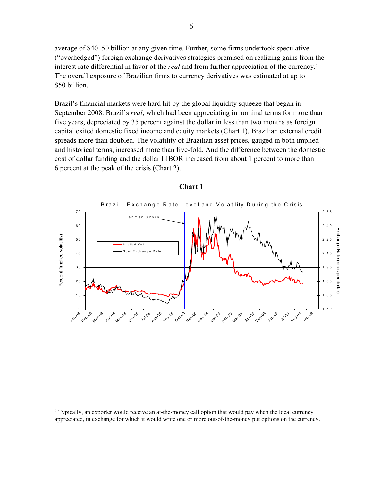average of \$40–50 billion at any given time. Further, some firms undertook speculative ("overhedged") foreign exchange derivatives strategies premised on realizing gains from the interest rate differential in favor of the *real* and from further appreciation of the currency.6 The overall exposure of Brazilian firms to currency derivatives was estimated at up to \$50 billion.

Brazil's financial markets were hard hit by the global liquidity squeeze that began in September 2008. Brazil's *real*, which had been appreciating in nominal terms for more than five years, depreciated by 35 percent against the dollar in less than two months as foreign capital exited domestic fixed income and equity markets (Chart 1). Brazilian external credit spreads more than doubled. The volatility of Brazilian asset prices, gauged in both implied and historical terms, increased more than five-fold. And the difference between the domestic cost of dollar funding and the dollar LIBOR increased from about 1 percent to more than 6 percent at the peak of the crisis (Chart 2).



#### **Chart 1**

1

<sup>&</sup>lt;sup>6</sup> Typically, an exporter would receive an at-the-money call option that would pay when the local currency appreciated, in exchange for which it would write one or more out-of-the-money put options on the currency.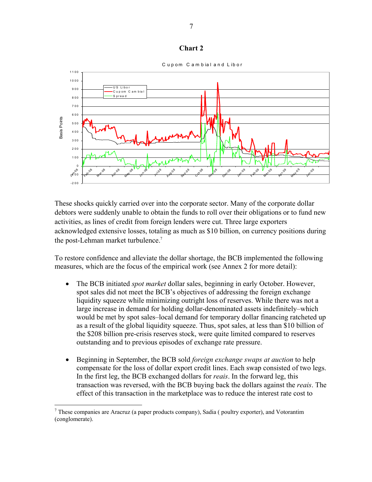



These shocks quickly carried over into the corporate sector. Many of the corporate dollar debtors were suddenly unable to obtain the funds to roll over their obligations or to fund new activities, as lines of credit from foreign lenders were cut. Three large exporters acknowledged extensive losses, totaling as much as \$10 billion, on currency positions during the post-Lehman market turbulence.<sup>7</sup>

To restore confidence and alleviate the dollar shortage, the BCB implemented the following measures, which are the focus of the empirical work (see Annex 2 for more detail):

- The BCB initiated *spot market* dollar sales, beginning in early October. However, spot sales did not meet the BCB's objectives of addressing the foreign exchange liquidity squeeze while minimizing outright loss of reserves. While there was not a large increase in demand for holding dollar-denominated assets indefinitely–which would be met by spot sales–local demand for temporary dollar financing ratcheted up as a result of the global liquidity squeeze. Thus, spot sales, at less than \$10 billion of the \$208 billion pre-crisis reserves stock, were quite limited compared to reserves outstanding and to previous episodes of exchange rate pressure.
- Beginning in September, the BCB sold *foreign exchange swaps at auction* to help compensate for the loss of dollar export credit lines. Each swap consisted of two legs. In the first leg, the BCB exchanged dollars for *reais*. In the forward leg, this transaction was reversed, with the BCB buying back the dollars against the *reais*. The effect of this transaction in the marketplace was to reduce the interest rate cost to

 $\overline{a}$ 

 $<sup>7</sup>$  These companies are Aracruz (a paper products company), Sadia ( poultry exporter), and Votorantim</sup> (conglomerate).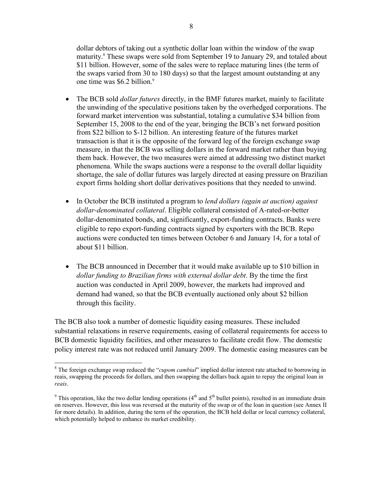dollar debtors of taking out a synthetic dollar loan within the window of the swap maturity.<sup>8</sup> These swaps were sold from September 19 to January 29, and totaled about \$11 billion. However, some of the sales were to replace maturing lines (the term of the swaps varied from 30 to 180 days) so that the largest amount outstanding at any one time was \$6.2 billion.<sup>9</sup>

- The BCB sold *dollar futures* directly, in the BMF futures market, mainly to facilitate the unwinding of the speculative positions taken by the overhedged corporations. The forward market intervention was substantial, totaling a cumulative \$34 billion from September 15, 2008 to the end of the year, bringing the BCB's net forward position from \$22 billion to \$-12 billion. An interesting feature of the futures market transaction is that it is the opposite of the forward leg of the foreign exchange swap measure, in that the BCB was selling dollars in the forward market rather than buying them back. However, the two measures were aimed at addressing two distinct market phenomena. While the swaps auctions were a response to the overall dollar liquidity shortage, the sale of dollar futures was largely directed at easing pressure on Brazilian export firms holding short dollar derivatives positions that they needed to unwind.
- In October the BCB instituted a program to *lend dollars (again at auction) against dollar-denominated collateral*. Eligible collateral consisted of A-rated-or-better dollar-denominated bonds, and, significantly, export-funding contracts. Banks were eligible to repo export-funding contracts signed by exporters with the BCB. Repo auctions were conducted ten times between October 6 and January 14, for a total of about \$11 billion.
- The BCB announced in December that it would make available up to \$10 billion in *dollar funding to Brazilian firms with external dollar debt*. By the time the first auction was conducted in April 2009, however, the markets had improved and demand had waned, so that the BCB eventually auctioned only about \$2 billion through this facility.

The BCB also took a number of domestic liquidity easing measures. These included substantial relaxations in reserve requirements, easing of collateral requirements for access to BCB domestic liquidity facilities, and other measures to facilitate credit flow. The domestic policy interest rate was not reduced until January 2009. The domestic easing measures can be

 $\overline{a}$ 

<sup>&</sup>lt;sup>8</sup> The foreign exchange swap reduced the "*cupom cambial*" implied dollar interest rate attached to borrowing in reais, swapping the proceeds for dollars, and then swapping the dollars back again to repay the original loan in *reais*.

<sup>&</sup>lt;sup>9</sup> This operation, like the two dollar lending operations ( $4<sup>th</sup>$  and  $5<sup>th</sup>$  bullet points), resulted in an immediate drain on reserves. However, this loss was reversed at the maturity of the swap or of the loan in question (see Annex II for more details). In addition, during the term of the operation, the BCB held dollar or local currency collateral, which potentially helped to enhance its market credibility.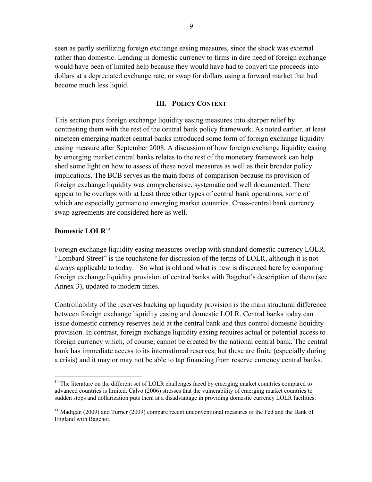seen as partly sterilizing foreign exchange easing measures, since the shock was external rather than domestic. Lending in domestic currency to firms in dire need of foreign exchange would have been of limited help because they would have had to convert the proceeds into dollars at a depreciated exchange rate, or swap for dollars using a forward market that had become much less liquid.

#### **III. POLICY CONTEXT**

This section puts foreign exchange liquidity easing measures into sharper relief by contrasting them with the rest of the central bank policy framework. As noted earlier, at least nineteen emerging market central banks introduced some form of foreign exchange liquidity easing measure after September 2008. A discussion of how foreign exchange liquidity easing by emerging market central banks relates to the rest of the monetary framework can help shed some light on how to assess of these novel measures as well as their broader policy implications. The BCB serves as the main focus of comparison because its provision of foreign exchange liquidity was comprehensive, systematic and well documented. There appear to be overlaps with at least three other types of central bank operations, some of which are especially germane to emerging market countries. Cross-central bank currency swap agreements are considered here as well.

#### **Domestic LOLR**<sup>10</sup>

 $\overline{a}$ 

Foreign exchange liquidity easing measures overlap with standard domestic currency LOLR. "Lombard Street" is the touchstone for discussion of the terms of LOLR, although it is not always applicable to today.<sup>11</sup> So what is old and what is new is discerned here by comparing foreign exchange liquidity provision of central banks with Bagehot's description of them (see Annex 3), updated to modern times.

Controllability of the reserves backing up liquidity provision is the main structural difference between foreign exchange liquidity easing and domestic LOLR. Central banks today can issue domestic currency reserves held at the central bank and thus control domestic liquidity provision. In contrast, foreign exchange liquidity easing requires actual or potential access to foreign currency which, of course, cannot be created by the national central bank. The central bank has immediate access to its international reserves, but these are finite (especially during a crisis) and it may or may not be able to tap financing from reserve currency central banks.

<sup>&</sup>lt;sup>10</sup> The literature on the different set of LOLR challenges faced by emerging market countries compared to advanced countries is limited. Calvo (2006) stresses that the vulnerability of emerging market countries to sudden stops and dollarization puts them at a disadvantage in providing domestic currency LOLR facilities.

<sup>&</sup>lt;sup>11</sup> Madigan (2009) and Turner (2009) compare recent unconventional measures of the Fed and the Bank of England with Bagehot.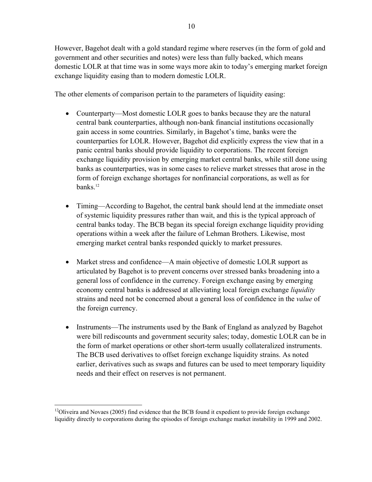However, Bagehot dealt with a gold standard regime where reserves (in the form of gold and government and other securities and notes) were less than fully backed, which means domestic LOLR at that time was in some ways more akin to today's emerging market foreign exchange liquidity easing than to modern domestic LOLR.

The other elements of comparison pertain to the parameters of liquidity easing:

- Counterparty—Most domestic LOLR goes to banks because they are the natural central bank counterparties, although non-bank financial institutions occasionally gain access in some countries. Similarly, in Bagehot's time, banks were the counterparties for LOLR. However, Bagehot did explicitly express the view that in a panic central banks should provide liquidity to corporations. The recent foreign exchange liquidity provision by emerging market central banks, while still done using banks as counterparties, was in some cases to relieve market stresses that arose in the form of foreign exchange shortages for nonfinancial corporations, as well as for banks.<sup>12</sup>
- Timing—According to Bagehot, the central bank should lend at the immediate onset of systemic liquidity pressures rather than wait, and this is the typical approach of central banks today. The BCB began its special foreign exchange liquidity providing operations within a week after the failure of Lehman Brothers. Likewise, most emerging market central banks responded quickly to market pressures.
- Market stress and confidence—A main objective of domestic LOLR support as articulated by Bagehot is to prevent concerns over stressed banks broadening into a general loss of confidence in the currency. Foreign exchange easing by emerging economy central banks is addressed at alleviating local foreign exchange *liquidity* strains and need not be concerned about a general loss of confidence in the *value* of the foreign currency.
- Instruments—The instruments used by the Bank of England as analyzed by Bagehot were bill rediscounts and government security sales; today, domestic LOLR can be in the form of market operations or other short-term usually collateralized instruments. The BCB used derivatives to offset foreign exchange liquidity strains. As noted earlier, derivatives such as swaps and futures can be used to meet temporary liquidity needs and their effect on reserves is not permanent.

 $\overline{a}$ <sup>12</sup>Oliveira and Novaes (2005) find evidence that the BCB found it expedient to provide foreign exchange liquidity directly to corporations during the episodes of foreign exchange market instability in 1999 and 2002.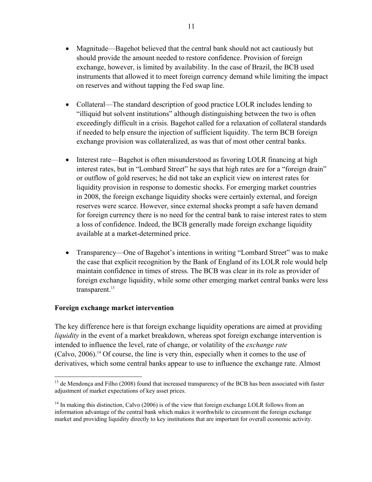- Magnitude—Bagehot believed that the central bank should not act cautiously but should provide the amount needed to restore confidence. Provision of foreign exchange, however, is limited by availability. In the case of Brazil, the BCB used instruments that allowed it to meet foreign currency demand while limiting the impact on reserves and without tapping the Fed swap line.
- Collateral—The standard description of good practice LOLR includes lending to "illiquid but solvent institutions" although distinguishing between the two is often exceedingly difficult in a crisis. Bagehot called for a relaxation of collateral standards if needed to help ensure the injection of sufficient liquidity. The term BCB foreign exchange provision was collateralized, as was that of most other central banks.
- Interest rate—Bagehot is often misunderstood as favoring LOLR financing at high interest rates, but in "Lombard Street" he says that high rates are for a "foreign drain" or outflow of gold reserves; he did not take an explicit view on interest rates for liquidity provision in response to domestic shocks. For emerging market countries in 2008, the foreign exchange liquidity shocks were certainly external, and foreign reserves were scarce. However, since external shocks prompt a safe haven demand for foreign currency there is no need for the central bank to raise interest rates to stem a loss of confidence. Indeed, the BCB generally made foreign exchange liquidity available at a market-determined price.
- Transparency—One of Bagehot's intentions in writing "Lombard Street" was to make the case that explicit recognition by the Bank of England of its LOLR role would help maintain confidence in times of stress. The BCB was clear in its role as provider of foreign exchange liquidity, while some other emerging market central banks were less  $transparent$ <sup>13</sup>

# **Foreign exchange market intervention**

The key difference here is that foreign exchange liquidity operations are aimed at providing *liquidity* in the event of a market breakdown, whereas spot foreign exchange intervention is intended to influence the level, rate of change, or volatility of the *exchange rate*  $(Calvo, 2006).$ <sup>14</sup> Of course, the line is very thin, especially when it comes to the use of derivatives, which some central banks appear to use to influence the exchange rate. Almost

 $\overline{a}$ <sup>13</sup> de Mendonça and Filho (2008) found that increased transparency of the BCB has been associated with faster adjustment of market expectations of key asset prices.

 $14$  In making this distinction, Calvo (2006) is of the view that foreign exchange LOLR follows from an information advantage of the central bank which makes it worthwhile to circumvent the foreign exchange market and providing liquidity directly to key institutions that are important for overall economic activity.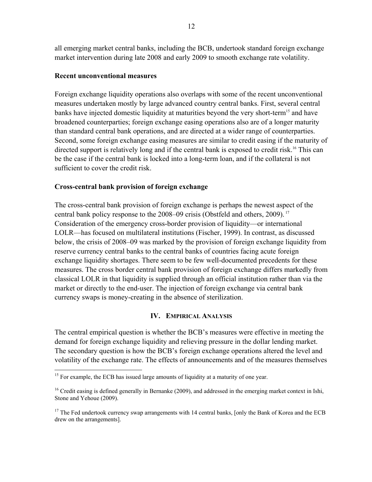all emerging market central banks, including the BCB, undertook standard foreign exchange market intervention during late 2008 and early 2009 to smooth exchange rate volatility.

### **Recent unconventional measures**

Foreign exchange liquidity operations also overlaps with some of the recent unconventional measures undertaken mostly by large advanced country central banks. First, several central banks have injected domestic liquidity at maturities beyond the very short-term<sup>15</sup> and have broadened counterparties; foreign exchange easing operations also are of a longer maturity than standard central bank operations, and are directed at a wider range of counterparties. Second, some foreign exchange easing measures are similar to credit easing if the maturity of directed support is relatively long and if the central bank is exposed to credit risk.<sup>16</sup> This can be the case if the central bank is locked into a long-term loan, and if the collateral is not sufficient to cover the credit risk.

# **Cross-central bank provision of foreign exchange**

The cross-central bank provision of foreign exchange is perhaps the newest aspect of the central bank policy response to the 2008–09 crisis (Obstfeld and others, 2009). <sup>17</sup> Consideration of the emergency cross-border provision of liquidity—or international LOLR—has focused on multilateral institutions (Fischer, 1999). In contrast, as discussed below, the crisis of 2008–09 was marked by the provision of foreign exchange liquidity from reserve currency central banks to the central banks of countries facing acute foreign exchange liquidity shortages. There seem to be few well-documented precedents for these measures. The cross border central bank provision of foreign exchange differs markedly from classical LOLR in that liquidity is supplied through an official institution rather than via the market or directly to the end-user. The injection of foreign exchange via central bank currency swaps is money-creating in the absence of sterilization.

#### **IV. EMPIRICAL ANALYSIS**

The central empirical question is whether the BCB's measures were effective in meeting the demand for foreign exchange liquidity and relieving pressure in the dollar lending market. The secondary question is how the BCB's foreign exchange operations altered the level and volatility of the exchange rate. The effects of announcements and of the measures themselves

 $\overline{a}$ <sup>15</sup> For example, the ECB has issued large amounts of liquidity at a maturity of one year.

<sup>&</sup>lt;sup>16</sup> Credit easing is defined generally in Bernanke (2009), and addressed in the emerging market context in Ishi, Stone and Yehoue (2009).

 $17$  The Fed undertook currency swap arrangements with 14 central banks, [only the Bank of Korea and the ECB drew on the arrangements].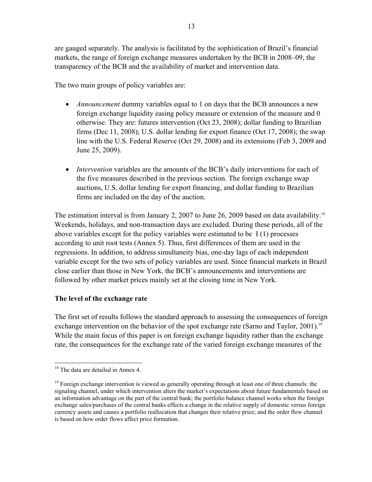are gauged separately. The analysis is facilitated by the sophistication of Brazil's financial markets, the range of foreign exchange measures undertaken by the BCB in 2008–09, the transparency of the BCB and the availability of market and intervention data.

The two main groups of policy variables are:

- *Announcement* dummy variables equal to 1 on days that the BCB announces a new foreign exchange liquidity easing policy measure or extension of the measure and 0 otherwise. They are: futures intervention (Oct 23, 2008); dollar funding to Brazilian firms (Dec 11, 2008); U.S. dollar lending for export finance (Oct 17, 2008); the swap line with the U.S. Federal Reserve (Oct 29, 2008) and its extensions (Feb 3, 2009 and June 25, 2009).
- *Intervention* variables are the amounts of the BCB's daily interventions for each of the five measures described in the previous section. The foreign exchange swap auctions, U.S. dollar lending for export financing, and dollar funding to Brazilian firms are included on the day of the auction.

The estimation interval is from January 2, 2007 to June 26, 2009 based on data availability.<sup>18</sup> Weekends, holidays, and non-transaction days are excluded. During these periods, all of the above variables except for the policy variables were estimated to be I (1) processes according to unit root tests (Annex 5). Thus, first differences of them are used in the regressions. In addition, to address simultaneity bias, one-day lags of each independent variable except for the two sets of policy variables are used. Since financial markets in Brazil close earlier than those in New York, the BCB's announcements and interventions are followed by other market prices mainly set at the closing time in New York.

# **The level of the exchange rate**

The first set of results follows the standard approach to assessing the consequences of foreign exchange intervention on the behavior of the spot exchange rate (Sarno and Taylor, 2001).<sup>19</sup> While the main focus of this paper is on foreign exchange liquidity rather than the exchange rate, the consequences for the exchange rate of the varied foreign exchange measures of the

 $\overline{a}$ 

<sup>&</sup>lt;sup>18</sup> The data are detailed in Annex 4.

<sup>&</sup>lt;sup>19</sup> Foreign exchange intervention is viewed as generally operating through at least one of three channels: the signaling channel, under which intervention alters the market's expectations about future fundamentals based on an information advantage on the part of the central bank; the portfolio balance channel works when the foreign exchange sales/purchases of the central banks effects a change in the relative supply of domestic versus foreign currency assets and causes a portfolio reallocation that changes their relative price; and the order flow channel is based on how order flows affect price formation.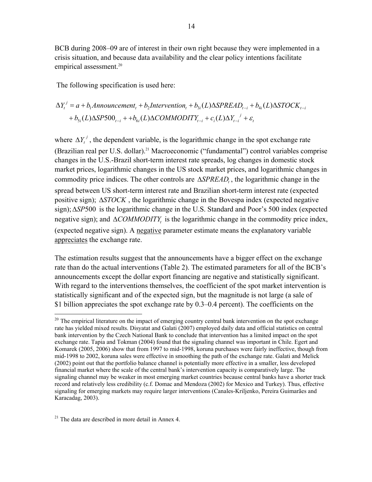BCB during 2008–09 are of interest in their own right because they were implemented in a crisis situation, and because data availability and the clear policy intentions facilitate empirical assessment.<sup>20</sup>

The following specification is used here:

$$
\Delta Y_t^j = a + b_1 \text{Announcement}_t + b_2 \text{Intervention}_t + b_{3i}(L) \Delta SPREAD_{t-i} + b_{4i}(L) \Delta STOCK_{t-i}
$$
  
+ 
$$
b_{5i}(L) \Delta SP500_{t-i} + b_{6i}(L) \Delta COMMODITY_{t-i} + c_i(L) \Delta Y_{t-i}^j + \varepsilon_t
$$

where  $\Delta Y_t^j$ , the dependent variable, is the logarithmic change in the spot exchange rate (Brazilian real per U.S. dollar).<sup>21</sup> Macroeconomic ("fundamental") control variables comprise changes in the U.S.-Brazil short-term interest rate spreads, log changes in domestic stock market prices, logarithmic changes in the US stock market prices, and logarithmic changes in commodity price indices. The other controls are  $\triangle SPREAD$ , the logarithmic change in the spread between US short-term interest rate and Brazilian short-term interest rate (expected positive sign); *STOCK* , the logarithmic change in the Bovespa index (expected negative sign);*SP*500 is the logarithmic change in the U.S. Standard and Poor's 500 index (expected negative sign); and  $\triangle$ *COMMODITY*, is the logarithmic change in the commodity price index, (expected negative sign). A negative parameter estimate means the explanatory variable appreciates the exchange rate.

The estimation results suggest that the announcements have a bigger effect on the exchange rate than do the actual interventions (Table 2). The estimated parameters for all of the BCB's announcements except the dollar export financing are negative and statistically significant. With regard to the interventions themselves, the coefficient of the spot market intervention is statistically significant and of the expected sign, but the magnitude is not large (a sale of \$1 billion appreciates the spot exchange rate by 0.3–0.4 percent). The coefficients on the

 $21$  The data are described in more detail in Annex 4.

1

 $^{20}$  The empirical literature on the impact of emerging country central bank intervention on the spot exchange rate has yielded mixed results. Disyatat and Galati (2007) employed daily data and official statistics on central bank intervention by the Czech National Bank to conclude that intervention has a limited impact on the spot exchange rate. Tapia and Tokman (2004) found that the signaling channel was important in Chile. Egert and Komarek (2005, 2006) show that from 1997 to mid-1998, koruna purchases were fairly ineffective, though from mid-1998 to 2002, koruna sales were effective in smoothing the path of the exchange rate. Galati and Melick (2002) point out that the portfolio balance channel is potentially more effective in a smaller, less developed financial market where the scale of the central bank's intervention capacity is comparatively large. The signaling channel may be weaker in most emerging market countries because central banks have a shorter track record and relatively less credibility (c.f. Domac and Mendoza (2002) for Mexico and Turkey). Thus, effective signaling for emerging markets may require larger interventions (Canales-Kriljenko, Pereira Guimarães and Karacadag, 2003).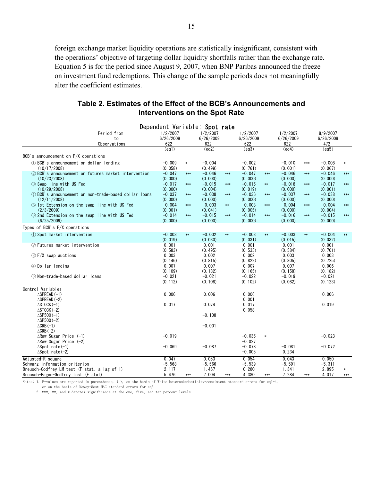foreign exchange market liquidity operations are statistically insignificant, consistent with the operations' objective of targeting dollar liquidity shortfalls rather than the exchange rate. Equation 5 is for the period since August 9, 2007, when BNP Paribas announced the freeze on investment fund redemptions. This change of the sample periods does not meaningfully alter the coefficient estimates.

| Table 2. Estimates of the Effect of the BCB's Announcements and |
|-----------------------------------------------------------------|
| Interventions on the Spot Rate                                  |

|                                                       |                       |        | Dependent Variable: Spot rate |            |                       |            |                       |            |                       |        |
|-------------------------------------------------------|-----------------------|--------|-------------------------------|------------|-----------------------|------------|-----------------------|------------|-----------------------|--------|
| Period from                                           | 1/2/2007<br>6/26/2009 |        | 1/2/2007<br>6/26/2009         |            | 1/2/2007<br>6/26/2009 |            | 1/2/2007<br>6/26/2009 |            | 8/9/2007<br>6/26/2009 |        |
| to<br>Observations                                    | 622                   |        | 622                           |            | 622                   |            | 622                   |            | 472                   |        |
|                                                       | (eq1)                 |        | (eq2)                         |            | (eq3)                 |            | (eq4)                 |            | (eq5)                 |        |
| BCB's announcement on F/X operations                  |                       |        |                               |            |                       |            |                       |            |                       |        |
| 1) BCB's announcement on dollar lending               | $-0.009$              | $\ast$ | $-0.004$                      |            | $-0.002$              |            | $-0.010$              | $***$      | $-0.008$              | $\ast$ |
| (10/17/2008)                                          | (0.058)               |        | (0.499)                       |            | (0.761)               |            | (0.001)               |            | (0.067)               |        |
| 2 BCB's announcement on futures market intervention   | $-0.047$              | $***$  | $-0.046$                      | $***$      | $-0.047$              | $***$      | $-0.046$              | $***$      | $-0.046$              | $***$  |
| (10/23/2008)                                          | (0, 000)              |        | (0, 000)                      |            | (0, 000)              |            | (0, 000)              |            | (0, 000)              |        |
| 3 Swap line with US Fed                               | $-0.017$              | $***$  | $-0.015$                      | $***$      | $-0.015$              | $\ast\ast$ | $-0.018$              | $***$      | $-0.017$              | $***$  |
| (10/29/2008)                                          | (0.000)               |        | (0.004)                       |            | (0.019)               |            | (0, 000)              |            | (0, 001)              |        |
| 4) BCB's announcement on non-trade-based dollar loans | $-0.037$              | $***$  | $-0.038$                      | $***$      | $-0.036$              | $***$      | $-0.037$              | $***$      | $-0.038$              | $***$  |
| (12/11/2008)                                          | (0, 000)              |        | (0, 000)                      |            | (0, 000)              |            | (0, 000)              |            | (0, 000)              |        |
| 5 1st Extension on the swap line with US Fed          | $-0.004$              | $***$  | $-0.003$                      | $\ast\ast$ | $-0.003$              | $***$      | $-0.004$              | $***$      | $-0.004$              | $***$  |
| (2/3/2009)                                            | (0.001)               |        | (0.041)                       |            | (0.005)               |            | (0, 000)              |            | (0.004)               |        |
| 6 2nd Extension on the swap line with US Fed          | $-0.014$              | $***$  | $-0.015$                      | $***$      | $-0.014$              | $***$      | $-0.016$              | $***$      | $-0.015$              | $***$  |
| (6/25/2009)                                           | (0, 000)              |        | (0, 000)                      |            | (0, 000)              |            | (0, 000)              |            | (0, 000)              |        |
| Types of BCB's F/X operations                         |                       |        |                               |            |                       |            |                       |            |                       |        |
| 1) Spot market intervention                           | $-0.003$              | $**$   | $-0.002$                      | $\ast\ast$ | $-0.003$              | $**$       | $-0.003$              | $\ast\ast$ | $-0.004$              | $**$   |
|                                                       | (0.019)               |        | (0.030)                       |            | (0, 031)              |            | (0, 015)              |            | (0.032)               |        |
| 2 Futures market intervention                         | 0.001                 |        | 0.001                         |            | 0.001                 |            | 0.001                 |            | 0.001                 |        |
|                                                       | (0.583)               |        | (0.495)                       |            | (0.533)               |            | (0.584)               |            | (0, 701)              |        |
| 3 F/X swap auctions                                   | 0.003                 |        | 0.002                         |            | 0.002                 |            | 0.003                 |            | 0.003                 |        |
|                                                       | (0.146)               |        | (0.815)                       |            | (0.822)               |            | (0, 805)              |            | (0.725)               |        |
| 4 Dollar lending                                      | 0.007                 |        | 0.007                         |            | 0.007                 |            | 0.007                 |            | 0.006                 |        |
|                                                       | (0.109)               |        | (0.182)                       |            | (0.165)               |            | (0.158)               |            | (0.182)               |        |
| 5 Non-trade-based dollar loans                        | $-0.021$              |        | $-0.021$                      |            | $-0.022$              |            | $-0.019$              |            | $-0.021$              |        |
|                                                       | (0.112)               |        | (0.108)                       |            | (0.102)               |            | (0.082)               |            | (0.123)               |        |
| Control Variables                                     |                       |        |                               |            |                       |            |                       |            |                       |        |
| $\triangle$ SPREAD(-1)                                | 0.006                 |        | 0.006                         |            | 0.006                 |            |                       |            | 0.006                 |        |
| $\triangle$ SPREAD (-2)                               |                       |        |                               |            | 0.001                 |            |                       |            |                       |        |
| $\triangle$ STOCK $(-1)$                              | 0.017                 |        | 0.074                         |            | 0.017                 |            |                       |            | 0.019                 |        |
| $\triangle$ STOCK $(-2)$                              |                       |        |                               |            | 0.058                 |            |                       |            |                       |        |
| $\triangle$ SP500 $(-1)$                              |                       |        | $-0.108$                      |            |                       |            |                       |            |                       |        |
| $\triangle$ SP500 (-2)                                |                       |        |                               |            |                       |            |                       |            |                       |        |
| $\triangle$ CRB $(-1)$<br>$\triangle$ CRB (-2)        |                       |        | $-0.001$                      |            |                       |            |                       |            |                       |        |
| $\triangle$ Raw Sugar Price (-1)                      | $-0.019$              |        |                               |            | $-0.035$              | $\ast$     |                       |            | $-0.023$              |        |
| $\triangle$ Raw Sugar Price (-2)                      |                       |        |                               |            | $-0.027$              |            |                       |            |                       |        |
| $\triangle$ Spot rate(-1)                             | $-0.069$              |        | $-0.087$                      |            | $-0.078$              |            | $-0.081$              |            | $-0.072$              |        |
| $\triangle$ Spot rate(-2)                             |                       |        |                               |            | $-0.005$              |            | 0.234                 |            |                       |        |
| Adjusted-R square                                     | 0.047                 |        | 0.053                         |            | 0.054                 |            | 0.043                 |            | 0.050                 |        |
| Schwarz information criterion                         | $-5.568$              |        | $-5.566$                      |            | $-5.539$              |            | $-5.591$              |            | $-5.311$              |        |
| Breusch-Godfrey LM test (F stat, a lag of 1)          | 2.117                 |        | 1.467                         |            | 0.280                 |            | 1.341                 |            | 2.895                 | $\ast$ |
| Breusch-Pagan-Godfrey test (F stat)                   | 5.476                 | ***    | 7.004                         | $***$      | 4.380                 | $***$      | 7.284                 | $***$      | 4.017                 | $***$  |

Notes: 1. P-values are reported in parentheses, ( ), on the basis of White heteroskedasticity-consistent standard errors for eq1-4,

or on the basis of Newey-West HAC standard errors for eq5.

2. \*\*\*, \*\*, and \* denotes significance at the one, five, and ten percent levels.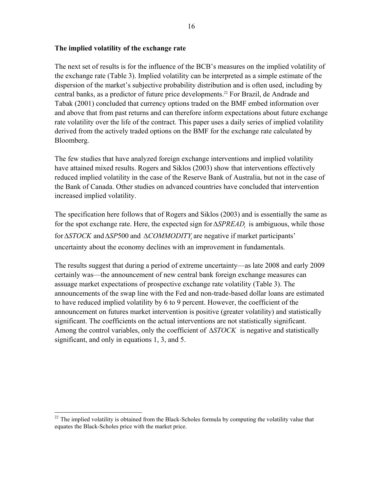### **The implied volatility of the exchange rate**

The next set of results is for the influence of the BCB's measures on the implied volatility of the exchange rate (Table 3). Implied volatility can be interpreted as a simple estimate of the dispersion of the market's subjective probability distribution and is often used, including by central banks, as a predictor of future price developments.<sup>22</sup> For Brazil, de Andrade and Tabak (2001) concluded that currency options traded on the BMF embed information over and above that from past returns and can therefore inform expectations about future exchange rate volatility over the life of the contract. This paper uses a daily series of implied volatility derived from the actively traded options on the BMF for the exchange rate calculated by Bloomberg.

The few studies that have analyzed foreign exchange interventions and implied volatility have attained mixed results. Rogers and Siklos (2003) show that interventions effectively reduced implied volatility in the case of the Reserve Bank of Australia, but not in the case of the Bank of Canada. Other studies on advanced countries have concluded that intervention increased implied volatility.

The specification here follows that of Rogers and Siklos (2003) and is essentially the same as for the spot exchange rate. Here, the expected sign for  $\triangle SPREAD$ , is ambiguous, while those for  $\triangle STOCK$  and  $\triangle SP500$  and  $\triangle COMMODITY$ , are negative if market participants' uncertainty about the economy declines with an improvement in fundamentals.

The results suggest that during a period of extreme uncertainty—as late 2008 and early 2009 certainly was—the announcement of new central bank foreign exchange measures can assuage market expectations of prospective exchange rate volatility (Table 3). The announcements of the swap line with the Fed and non-trade-based dollar loans are estimated to have reduced implied volatility by 6 to 9 percent. However, the coefficient of the announcement on futures market intervention is positive (greater volatility) and statistically significant. The coefficients on the actual interventions are not statistically significant. Among the control variables, only the coefficient of  $\Delta STOCK$  is negative and statistically significant, and only in equations 1, 3, and 5.

1

 $22$  The implied volatility is obtained from the Black-Scholes formula by computing the volatility value that equates the Black-Scholes price with the market price.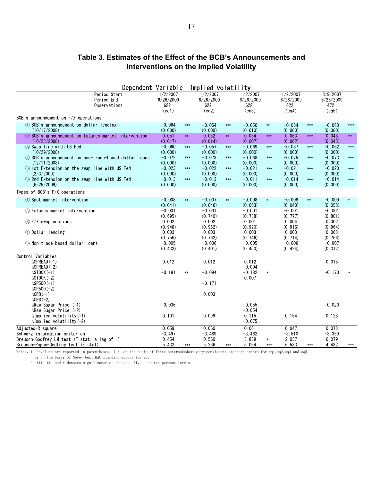# **Table 3. Estimates of the Effect of the BCB's Announcements and Interventions on the Implied Volatility**

| Dependent Variable: Implied volatility                                |                      |                |                      |            |                     |        |                      |            |                     |       |
|-----------------------------------------------------------------------|----------------------|----------------|----------------------|------------|---------------------|--------|----------------------|------------|---------------------|-------|
| Period Start                                                          | 1/2/2007             |                | 1/2/2007             |            | 1/2/2007            |        | 1/2/2007             |            | 8/9/2007            |       |
| Period End                                                            | 6/26/2009            |                | 6/26/2009            |            | 6/26/2009           |        | 6/26/2009            |            | 6/26/2009           |       |
| Observations                                                          | 622                  |                | 622                  |            | 622                 |        | 622                  |            | 472                 |       |
|                                                                       | (ea1)                |                | (ea2)                |            | (ea3)               |        | (eq4)                |            | (ea5)               |       |
| BCB's announcement on $F/X$ operations                                |                      |                |                      |            |                     |        |                      |            |                     |       |
| 1) BCB's announcement on dollar lending                               | $-0.064$             | $***$          | $-0.054$             | $***$      | $-0.050$            | $**$   | $-0.064$             | $***$      | $-0.063$            | $***$ |
| (10/17/2008)                                                          | (0.000)              |                | (0.000)              |            | (0.010)             |        | (0.000)              |            | (0.000)             |       |
| 2 BCB's announcement on futures market intervention                   | 0.051                | $\ast\ast$     | 0.052                | $\ast\ast$ | 0.054               | $***$  | 0.063                | $***$      | 0.048               | $**$  |
| (10/23/2008)                                                          | (0.017)              |                | (0.014)              |            | (0.007)             |        | (0.002)              |            | (0.045)             |       |
| 3 Swap line with US Fed                                               | $-0.060$             | $***$          | $-0.057$<br>(0, 000) | $***$      | $-0.069$            | $***$  | $-0.087$<br>(0, 000) | $***$      | $-0.062$            | $***$ |
| (10/29/2008)<br>4) BCB's announcement on non-trade-based dollar loans | (0, 000)<br>$-0.072$ | $***$          | $-0.073$             | $***$      | (0.000)<br>$-0.068$ | $***$  | $-0.075$             | $***$      | (0.000)<br>$-0.073$ | $***$ |
| (12/11/2008)                                                          | (0.000)              |                | (0.000)              |            | (0.000)             |        | (0.000)              |            | (0.000)             |       |
| 5 1st Extension on the swap line with US Fed                          | $-0.023$             | $***$          | $-0.022$             | $***$      | $-0.021$            | $***$  | $-0.021$             | $***$      | $-0.023$            | $***$ |
| (2/3/2009)                                                            | (0.000)              |                | (0.000)              |            | (0.000)             |        | (0, 000)             |            | (0.000)             |       |
| 6 2nd Extension on the swap line with US Fed                          | $-0.013$             | $***$          | $-0.013$             | $***$      | $-0.011$            | $***$  | $-0.014$             | $***$      | $-0.014$            | $***$ |
| (6/25/2009)                                                           | (0.000)              |                | (0.000)              |            | (0.000)             |        | (0.000)              |            | (0.000)             |       |
| Types of BCB's F/X operations                                         |                      |                |                      |            |                     |        |                      |            |                     |       |
| 1) Spot market intervention                                           | $-0.008$             | $\ast\ast$     | $-0.007$             | $**$       | $-0.008$            | $\ast$ | $-0.008$             | $\ast\ast$ | $-0.009$            |       |
|                                                                       | (0.041)              |                | (0.046)              |            | (0.063)             |        | (0.040)              |            | (0.058)             |       |
| 2 Futures market intervention                                         | $-0.001$             |                | $-0.001$             |            | $-0.001$            |        | $-0.001$             |            | $-0.001$            |       |
|                                                                       | (0.695)              |                | (0.740)              |            | (0.738)             |        | (0.777)              |            | (0.801)             |       |
| 3 F/X swap auctions                                                   | 0.002                |                | 0.002                |            | 0.001               |        | 0.004                |            | 0.002               |       |
|                                                                       | (0.948)              |                | (0.962)              |            | (0.970)             |        | (0.916)              |            | (0.964)             |       |
| 4 Dollar lending                                                      | 0.003                |                | 0.003                |            | 0.003               |        | 0.003                |            | 0.003               |       |
|                                                                       | (0.756)              |                | (0.762)              |            | (0.746)             |        | (0.714)              |            | (0.766)             |       |
| 5 Non-trade-based dollar loans                                        | $-0.005$<br>(0.433)  |                | $-0.006$<br>(0.401)  |            | $-0.005$<br>(0.450) |        | $-0.006$<br>(0.424)  |            | $-0.007$<br>(0.317) |       |
|                                                                       |                      |                |                      |            |                     |        |                      |            |                     |       |
| Control Variables                                                     |                      |                |                      |            |                     |        |                      |            |                     |       |
| $\triangle$ SPREAD (-1)                                               | 0.012                |                | 0.012                |            | 0.012<br>$-0.004$   |        |                      |            | 0.015               |       |
| $\triangle$ SPREAD (-2)<br>$\triangle$ STOCK (-1)                     | $-0.191$             | $**$           | $-0.094$             |            | $-0.182$            | $\ast$ |                      |            | $-0.170$            |       |
| $\triangle$ STOCK $(-2)$                                              |                      |                |                      |            | 0.007               |        |                      |            |                     |       |
| $\triangle$ SP500 $(-1)$                                              |                      |                | $-0.171$             |            |                     |        |                      |            |                     |       |
| $\triangle$ SP500 $(-2)$                                              |                      |                |                      |            |                     |        |                      |            |                     |       |
| $\triangle$ CRB $(-1)$                                                |                      |                | 0.003                |            |                     |        |                      |            |                     |       |
| $\triangle$ CRB $(-2)$                                                |                      |                |                      |            |                     |        |                      |            |                     |       |
| $\triangle$ Raw Sugar Price (-1)                                      | $-0.036$             |                |                      |            | $-0.055$            |        |                      |            | $-0.020$            |       |
| $\triangle$ Raw Sugar Price (-2)                                      |                      |                |                      |            | $-0.054$            |        |                      |            |                     |       |
| $\Delta$ Implied volatility(-1)                                       | 0.101                |                | 0.099                |            | 0.115               |        | 0.154                |            | 0.128               |       |
| $\Delta$ Implied volatility(-2)                                       |                      |                |                      |            | $-0.075$            |        |                      |            |                     |       |
| Adjusted-R square                                                     | 0.059                |                | 0.060                |            | 0.061               |        | 0.047                |            | 0.073               |       |
| Schwarz information criterion                                         | $-3.497$             |                | -3.489               |            | $-3.462$            |        | $-3.510$             |            | $-3.369$            |       |
| Breusch-Godfrey LM test (F stat, a lag of 1)                          | 0.454<br>5.432       |                | 0.560<br>5.236       |            | 3.839<br>5.064      | $\ast$ | 2.037<br>6.533       |            | 0.079<br>4.432      |       |
| Breusch-Pagan-Godfrey test (F stat)                                   |                      | $\ast\ast\ast$ |                      | $***$      |                     | $***$  |                      | $***$      |                     | $***$ |

Notes: 1. P-values are reported in parentheses, ( ), on the basis of White heteroskedasticity-consistent standard errors for eq1,eq2,eq4 and eq5, or on the basis of Newey-West HAC standard errors for eq3.

2. \*\*\*, \*\*, and \* denotes significance at the one, five, and ten percent levels.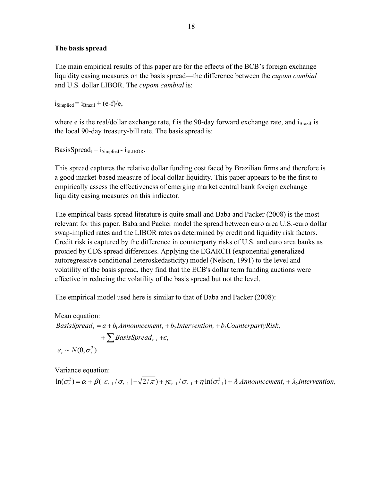#### **The basis spread**

The main empirical results of this paper are for the effects of the BCB's foreign exchange liquidity easing measures on the basis spread—the difference between the *cupom cambial* and U.S. dollar LIBOR. The *cupom cambial* is:

 $i_{\text{Simplied}} = i_{\text{Brazil}} + (e-f)/e$ ,

where e is the real/dollar exchange rate, f is the 90-day forward exchange rate, and  $i_{\text{Brazil}}$  is the local 90-day treasury-bill rate. The basis spread is:

BasisSpread<sub>t</sub> =  $i_{\text{Simplified}}$  -  $i_{\text{SLIBOR}}$ .

This spread captures the relative dollar funding cost faced by Brazilian firms and therefore is a good market-based measure of local dollar liquidity. This paper appears to be the first to empirically assess the effectiveness of emerging market central bank foreign exchange liquidity easing measures on this indicator.

The empirical basis spread literature is quite small and Baba and Packer (2008) is the most relevant for this paper. Baba and Packer model the spread between euro area U.S.-euro dollar swap-implied rates and the LIBOR rates as determined by credit and liquidity risk factors. Credit risk is captured by the difference in counterparty risks of U.S. and euro area banks as proxied by CDS spread differences. Applying the EGARCH (exponential generalized autoregressive conditional heteroskedasticity) model (Nelson, 1991) to the level and volatility of the basis spread, they find that the ECB's dollar term funding auctions were effective in reducing the volatility of the basis spread but not the level.

The empirical model used here is similar to that of Baba and Packer (2008):

Mean equation:  $+\sum$ *BasisSpread*<sub>t-i</sub> + $\varepsilon$ <sub>i</sub> *BasisSpread*<sub>t</sub> =  $a + b_1 A$ nnouncement<sub>t</sub> +  $b_2$ Intervention<sub>t</sub> +  $b_3$ CounterpartyRisk<sub>t</sub>  $\varepsilon_t \sim N(0, \sigma_t^2)$ 

Variance equation:

$$
\ln(\sigma_t^2) = \alpha + \beta \left( \left| \varepsilon_{t-1} / \sigma_{t-1} \right| - \sqrt{2/\pi} \right) + \gamma \varepsilon_{t-1} / \sigma_{t-1} + \eta \ln(\sigma_{t-1}^2) + \lambda_1 \text{Amount} \cdot \text{moment}_{t} + \lambda_2 \text{ intervention}_{t}
$$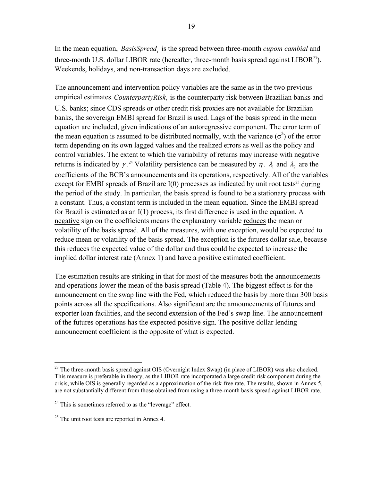In the mean equation, *BasisSpread*, is the spread between three-month *cupom cambial* and three-month U.S. dollar LIBOR rate (hereafter, three-month basis spread against  $LIBOR<sup>23</sup>$ ). Weekends, holidays, and non-transaction days are excluded.

The announcement and intervention policy variables are the same as in the two previous empirical estimates. *CounterpartyRisk*, is the counterparty risk between Brazilian banks and U.S. banks; since CDS spreads or other credit risk proxies are not available for Brazilian banks, the sovereign EMBI spread for Brazil is used. Lags of the basis spread in the mean equation are included, given indications of an autoregressive component. The error term of the mean equation is assumed to be distributed normally, with the variance  $(\sigma^2)$  of the error term depending on its own lagged values and the realized errors as well as the policy and control variables. The extent to which the variability of returns may increase with negative returns is indicated by  $\gamma$ .<sup>24</sup> Volatility persistence can be measured by  $\eta$ .  $\lambda_1$  and  $\lambda_2$  are the coefficients of the BCB's announcements and its operations, respectively. All of the variables except for EMBI spreads of Brazil are  $I(0)$  processes as indicated by unit root tests<sup>25</sup> during the period of the study. In particular, the basis spread is found to be a stationary process with a constant. Thus, a constant term is included in the mean equation. Since the EMBI spread for Brazil is estimated as an I(1) process, its first difference is used in the equation. A negative sign on the coefficients means the explanatory variable reduces the mean or volatility of the basis spread. All of the measures, with one exception, would be expected to reduce mean or volatility of the basis spread. The exception is the futures dollar sale, because this reduces the expected value of the dollar and thus could be expected to increase the implied dollar interest rate (Annex 1) and have a positive estimated coefficient.

The estimation results are striking in that for most of the measures both the announcements and operations lower the mean of the basis spread (Table 4). The biggest effect is for the announcement on the swap line with the Fed, which reduced the basis by more than 300 basis points across all the specifications. Also significant are the announcements of futures and exporter loan facilities, and the second extension of the Fed's swap line. The announcement of the futures operations has the expected positive sign. The positive dollar lending announcement coefficient is the opposite of what is expected.

<u>.</u>

 $23$  The three-month basis spread against OIS (Overnight Index Swap) (in place of LIBOR) was also checked. This measure is preferable in theory, as the LIBOR rate incorporated a large credit risk component during the crisis, while OIS is generally regarded as a approximation of the risk-free rate. The results, shown in Annex 5, are not substantially different from those obtained from using a three-month basis spread against LIBOR rate.

<sup>&</sup>lt;sup>24</sup> This is sometimes referred to as the "leverage" effect.

<sup>&</sup>lt;sup>25</sup> The unit root tests are reported in Annex 4.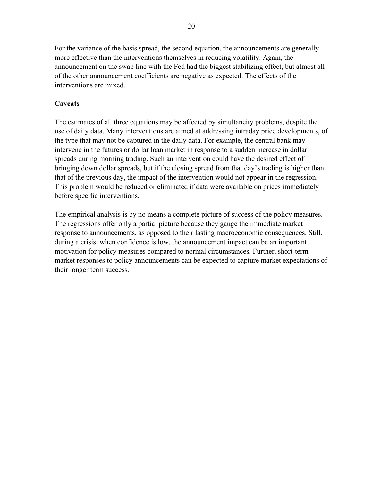For the variance of the basis spread, the second equation, the announcements are generally more effective than the interventions themselves in reducing volatility. Again, the announcement on the swap line with the Fed had the biggest stabilizing effect, but almost all of the other announcement coefficients are negative as expected. The effects of the interventions are mixed.

# **Caveats**

The estimates of all three equations may be affected by simultaneity problems, despite the use of daily data. Many interventions are aimed at addressing intraday price developments, of the type that may not be captured in the daily data. For example, the central bank may intervene in the futures or dollar loan market in response to a sudden increase in dollar spreads during morning trading. Such an intervention could have the desired effect of bringing down dollar spreads, but if the closing spread from that day's trading is higher than that of the previous day, the impact of the intervention would not appear in the regression. This problem would be reduced or eliminated if data were available on prices immediately before specific interventions.

The empirical analysis is by no means a complete picture of success of the policy measures. The regressions offer only a partial picture because they gauge the immediate market response to announcements, as opposed to their lasting macroeconomic consequences. Still, during a crisis, when confidence is low, the announcement impact can be an important motivation for policy measures compared to normal circumstances. Further, short-term market responses to policy announcements can be expected to capture market expectations of their longer term success.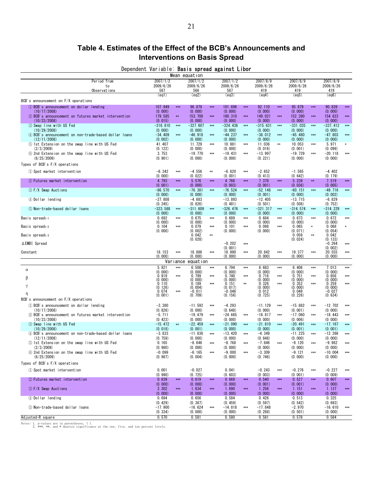# **Table 4. Estimates of the Effect of the BCB's Announcements and Interventions on Basis Spread**

| Dependent Variable: <b>Basis spread against Libor</b> |               |  |  |
|-------------------------------------------------------|---------------|--|--|
|                                                       | Mean equation |  |  |

|                                                                     |                              | mean equalion                                                           |                                               |                                        |                               |                                              |
|---------------------------------------------------------------------|------------------------------|-------------------------------------------------------------------------|-----------------------------------------------|----------------------------------------|-------------------------------|----------------------------------------------|
| Period from<br>to<br>Observations                                   | 2007/1/2<br>2009/6/26<br>567 | 2007/1/2<br>2009/6/26<br>566                                            | 2007/1/2<br>2009/6/26<br>567                  | 2007/8/9<br>2009/6/26<br>419           | 2007/8/9<br>2009/6/26<br>419  | 2007/8/9<br>2009/6/26<br>419                 |
|                                                                     | (eq1)                        | (eq2)                                                                   | (eq3)                                         | (eq4)                                  | (eq5)                         | (eq6)                                        |
| BCB's announcement on F/X operations                                |                              |                                                                         |                                               |                                        |                               |                                              |
| 1 BCB's announcement on dollar lending<br>(10/17/2008)              | 107.949<br>(0.000)           | 96.879<br>**<br>(0.000)                                                 | 101.696<br>*dd<br>**<br>(0.000)               | 92.110<br>*ok*<br>(0.000)              | 95.679<br> abc <br>(0.000)    | 90.839<br>* kok<br>(0.000)                   |
| 2 BCB's announcement on futures market intervention                 | 179.585                      | 153.700<br>∗×                                                           | 160.310<br> abc <br>$*$                       | 149.021<br> abc                        | 152.390<br> abc               | 154.623<br>$*$                               |
| (10/23/2008)                                                        | (0.015)                      | (0.000)                                                                 | (0.000)                                       | (0.000)                                | (0.000)                       | (0.000)                                      |
| 3 Swap line with US Fed<br>(10/29/2008)                             | $-316.810$<br>(0.000)        | $-327.607$<br>$*$<br>(0.000)                                            | $-324.436$<br>$\frac{1}{2}$<br>$*$<br>(0.000) | $-315.631$<br>$*$<br>(0.000)           | -331.035<br> abc <br>(0.000)  | $-337.412$<br>$*$<br>(0.000)                 |
| 4) BCB's announcement on non-trade-based dollar loans               | $-34.409$                    | $-46.918$<br>$***$                                                      | $-44.237$<br>$\frac{1}{2}$<br>**              | $-38.012$<br>$*$                       | $-45.480$<br>$*$              | $-47.803$<br>$*$                             |
| (12/11/2008)<br>5 1st Extension on the swap line with US Fed        | (0.002)<br>41.407            | (0.000)<br>11.729                                                       | (0.000)<br>10.981<br>$\frac{1}{2}$<br>$***$   | (0.000)<br>11.036<br>$\star\!\!\star$  | (0.000)<br>10.053<br>$*$      | (0.000)<br>5.971<br>$\ast$                   |
| (2/3/2009)                                                          | (0.122)                      | (0.000)                                                                 | (0.000)                                       | (0.016)                                | (0.001)                       | (0.099)                                      |
| 6 2nd Extension on the swap line with US Fed                        | 3.753                        | $-19.770$                                                               | $-19.431$<br>$\frac{1}{2}$<br>$*$             | $-13.997$                              | $-19.729$<br>$*$              | $-20.118$<br>$*$                             |
| (6/25/2009)                                                         | (0.901)                      | (0.000)                                                                 | (0.000)                                       | (0.221)                                | (0.000)                       | (0.000)                                      |
| Types of BCB's F/X operations                                       |                              |                                                                         |                                               |                                        |                               |                                              |
| 1) Spot market intervention                                         | $-6.342$<br>(0.000)          | $-4.556$<br>$***$<br>$*$<br>(0.022)                                     | $-6.820$<br>$***$<br>(0.001)                  | $-2.652$<br>(0.413)                    | $-1.565$<br>(0.642)           | $-4.402$<br>(0.179)                          |
| 2 Futures market intervention                                       | 4.793                        | 5.576<br>**                                                             | 4.766<br> abc <br>**                          | 7.378<br>$\frac{1}{2}$                 | 5.239<br>$\frac{1}{2}$        | 7.519<br>**                                  |
| 3 F/X Swap Auctions                                                 | (0.001)<br>$-86.570$         | (0.000)<br>$-76.381$<br>**                                              | (0.003)<br>$-76.524$<br>$\frac{1}{2}$<br>**   | (0.001)<br>$-52.148$<br>**             | (0.036)<br>$-60.151$<br>$*$   | (0.005)<br>$-49.716$<br>$*$                  |
|                                                                     | (0.000)                      | (0.000)                                                                 | (0.000)                                       | (0.001)                                | (0.000)                       | (0.002)                                      |
| 4 Dollar lending                                                    | $-27.808$                    | $-4.683$                                                                | $-13.893$                                     | $-12.405$                              | $-13.715$                     | $-6.829$                                     |
| 5 Non-trade-based dollar loans                                      | (0.245)<br>$-323.588$        | (0.826)<br>-311.609<br>**                                               | (0.481)<br>$\frac{1}{2}$<br>-326.476<br>$*$   | (0.501)<br>$-321.317$<br>$\frac{1}{2}$ | (0.508)<br>-314.574<br> abc   | (0.752)<br>$-314.229$<br>$*$                 |
|                                                                     | (0.000)                      | (0.000)                                                                 | (0, 000)                                      | (0.000)                                | (0.000)                       | (0.000)                                      |
| Basis spread $t-1$                                                  | 0.692<br>(0.000)             | 0.675<br>$***$<br>(0.000)                                               | 0.689<br>$\frac{1}{2}$<br>$***$<br>(0.000)    | 0.684<br>$*$<br>(0.000)                | 0.673<br>$*$<br>(0.000)       | 0.672<br>$*$<br>(0.000)                      |
| Basis spread $_{t-2}$                                               | 0.104                        | 0.079<br>$***$                                                          | 0.101<br>**<br>$***$                          | 0.098<br>$*$                           | 0.065                         | 0.068                                        |
| Basis spread $t-3$                                                  | (0.000)                      | (0.002)<br>0.042<br>$\left \!\!\left\langle \mathbf{c}\right \!\right $ | (0.000)                                       | (0.000)                                | (0.071)<br>0.059<br>$*$       | (0.054)<br>0.042                             |
|                                                                     |                              | (0.028)                                                                 |                                               |                                        | (0.024)                       | (0.133)                                      |
| ∆EMBI Spread                                                        |                              |                                                                         | $-0.202$<br>$***$<br>(0.001)                  |                                        |                               | $-0.264$<br>$*$<br>(0.002)                   |
| Constant                                                            | 18.153<br>(0, 000)           | $*$<br>18.886                                                           | abc <br>18.990<br>$***$                       | 20.842<br>$*$                          | 19.377<br>$*$                 | 20.555<br>$*$<br>(0, 000)                    |
|                                                                     | Variance                     | (0, 000)<br>equation                                                    | (0.000)                                       | (0.000)                                | (0.000)                       |                                              |
| $\alpha$                                                            | 5.821                        | 6.508<br>$*$                                                            | 6.794<br>$***$<br>$***$                       | 6.683<br>$*$                           | 6.406<br>$***$                | 7.013<br>$*$                                 |
|                                                                     | (0.000)<br>0.919             | (0.000)<br>0.799<br>$***$                                               | (0.000)<br>0.740<br>$*$<br>$***$              | (0.000)<br>0.716<br>$*$                | (0.000)<br>0.751<br>$*$       | (0.000)<br>$*$                               |
| β                                                                   | (0.000)                      | (0.000)                                                                 | (0.000)                                       | (0.000)                                | (0.000)                       | $\begin{matrix} 0.656 \\ 0.000 \end{matrix}$ |
| γ                                                                   | 0.110<br>(0.126)             | 0.189<br>(0.004)                                                        | 0.151<br>$*$<br>**<br>(0.017)                 | 0.326<br>$*$<br>(0.000)                | 0.352<br>$*$<br>(0.000)       | 0.259<br>$*$<br>(0.000)                      |
| η                                                                   | 0.074<br>(0.001)             | -0.011<br>$***$<br>(0.709)                                              | -0.046<br>(0.156)                             | 0.012<br>(0.725)                       | 0.049<br>(0.226)              | $-0.027$<br>(0.634)                          |
| BCB's announcement on F/X operations                                |                              |                                                                         |                                               |                                        |                               |                                              |
| 1) BCB's announcement on dollar lending                             | $-3.380$                     | $-11.592$                                                               | $-4.293$<br>$*$                               | $-11.129$<br>$*$                       | $-15.882$<br>$***$            | $-12.702$<br>$*$                             |
| (10/17/2008)<br>2 BCB's announcement on futures market intervention | (0.826)<br>$-5.711$          | (0.000)<br>$-19.479$                                                    | (0.648)<br>-24.665<br>$*$<br>$**$             | (0.000)<br>$-16.817$<br>$*$            | (0.001)<br>$-17.060$<br>$***$ | (0.000)<br>$-18.443$<br>$*$                  |
| (10/23/2008)                                                        | (0.423)                      | (0.000)                                                                 | (0.000)                                       | (0.000)                                | (0.006)                       | (0.000)                                      |
| 3 Swap line with US Fed<br>(10/29/2008)                             | $-15.472$<br>(0.018)         | $-22.459$<br>**<br>(0.001)                                              | $\frac{1}{2}$<br>-21.090<br>**<br>(0.000)     | $-21.810$<br>*k<br>(0.000)             | $-20.491$<br>$*$<br>(0.001)   | $-17.167$<br>$*$<br>(0.001)                  |
| 4 BCB's announcement on non-trade-based dollar loans                | $-3.833$                     | $-11.836$                                                               | $-13.420$<br>$*$<br>$**$                      | $-4.349$                               | $-11.225$<br>$*$              | $-12.266$<br>$*$                             |
| (12/11/2008)                                                        | (0.759)                      | (0.000)                                                                 | (0.000)                                       | (0.848)                                | (0.000)                       | (0.000)                                      |
| 5 1st Extension on the swap line with US Fed<br>(2/3/2009)          | 0.165<br>(0.980)             | $-8.646$<br>(0, 000)                                                    | $-8.768$<br>$*$<br>$***$<br>(0, 000)          | $-7.846$<br>$**$<br>(0, 000)           | $-9.120$<br>$*$<br>(0.000)    | $-9.982$<br>$*$<br>(0, 000)                  |
| 6 2nd Extension on the swap line with US Fed                        | $-0.099$                     | $-6.165$                                                                | $-9.000$<br>$\frac{1}{2}$<br>$***$            | $-3.309$                               | $-9.121$<br>$***$             | $-10.004$<br>$*$                             |
| (6/25/2009)                                                         | (0.987)                      | (0.004)                                                                 | (0.000)                                       | (0.746)                                | (0.000)                       | (0.000)                                      |
| Types of BCB's F/X operations                                       |                              |                                                                         |                                               |                                        |                               |                                              |
| 1) Spot market intervention                                         | 0.001<br>(0.990)             | $-0.027$<br>(0.725)                                                     | 0.041<br>(0.603)                              | $-0.243$<br>$*$<br>(0.003)             | $-0.276$<br>$**$<br>(0.001)   | $-0.227$<br>$*$<br>(0.009)                   |
| 2 Futures market intervention                                       | 0.639                        | 0.619<br>**                                                             | 0.669<br>*k<br>*dok                           | 0.540<br>*k                            | 0.527<br>**                   | 0.607<br>*ok*                                |
|                                                                     | (0.000)                      | (0.000)                                                                 | (0.000)                                       | (0.001)                                | (0.001)                       | (0.000)                                      |
| 3 F/X Swap Auctions                                                 | 2.302<br>(0.000)             | 1.634<br>$*$<br>(0.000)                                                 | 1.690<br>$\frac{1}{2}$<br>$*$<br>(0.000)      | 1.256<br>$\frac{1}{2}$<br>(0.000)      | 1.151<br> abc <br>(0.000)     | 1.137<br> abc <br>(0.000)                    |
| 4 Dollar lending                                                    | 0.694                        | 0.656                                                                   | 0.584                                         | 0.426                                  | 0.513                         | 0.325                                        |
| 5 Non-trade-based dollar loans                                      | (0.429)<br>$-17.900$         | (0.367)<br>$-16.624$                                                    | (0.459)<br>$-14.818$<br> abc <br>$*$          | (0.597)<br>$-17.848$                   | (0.542)<br>$-2.970$           | (0.693)<br>$-16.610$<br>$*$                  |
|                                                                     | (0.334)                      | (0.000)                                                                 | (0.000)                                       | (0.288)                                | (0.501)                       | (0.000)                                      |
| Adjusted-R square                                                   | 0.570                        | 0.581                                                                   | 0.580                                         | 0.581                                  | 0.578                         | 0.584                                        |

Notes: 1. p-values are in parentheses, ( ). 2. \*\*\*, \*\*, and \* denotes significance at the one, five, and ten percent levels.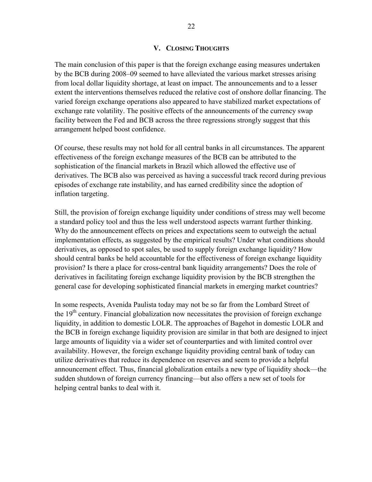#### **V. CLOSING THOUGHTS**

The main conclusion of this paper is that the foreign exchange easing measures undertaken by the BCB during 2008–09 seemed to have alleviated the various market stresses arising from local dollar liquidity shortage, at least on impact. The announcements and to a lesser extent the interventions themselves reduced the relative cost of onshore dollar financing. The varied foreign exchange operations also appeared to have stabilized market expectations of exchange rate volatility. The positive effects of the announcements of the currency swap facility between the Fed and BCB across the three regressions strongly suggest that this arrangement helped boost confidence.

Of course, these results may not hold for all central banks in all circumstances. The apparent effectiveness of the foreign exchange measures of the BCB can be attributed to the sophistication of the financial markets in Brazil which allowed the effective use of derivatives. The BCB also was perceived as having a successful track record during previous episodes of exchange rate instability, and has earned credibility since the adoption of inflation targeting.

Still, the provision of foreign exchange liquidity under conditions of stress may well become a standard policy tool and thus the less well understood aspects warrant further thinking. Why do the announcement effects on prices and expectations seem to outweigh the actual implementation effects, as suggested by the empirical results? Under what conditions should derivatives, as opposed to spot sales, be used to supply foreign exchange liquidity? How should central banks be held accountable for the effectiveness of foreign exchange liquidity provision? Is there a place for cross-central bank liquidity arrangements? Does the role of derivatives in facilitating foreign exchange liquidity provision by the BCB strengthen the general case for developing sophisticated financial markets in emerging market countries?

In some respects, Avenida Paulista today may not be so far from the Lombard Street of the  $19<sup>th</sup>$  century. Financial globalization now necessitates the provision of foreign exchange liquidity, in addition to domestic LOLR. The approaches of Bagehot in domestic LOLR and the BCB in foreign exchange liquidity provision are similar in that both are designed to inject large amounts of liquidity via a wider set of counterparties and with limited control over availability. However, the foreign exchange liquidity providing central bank of today can utilize derivatives that reduce its dependence on reserves and seem to provide a helpful announcement effect. Thus, financial globalization entails a new type of liquidity shock—the sudden shutdown of foreign currency financing—but also offers a new set of tools for helping central banks to deal with it.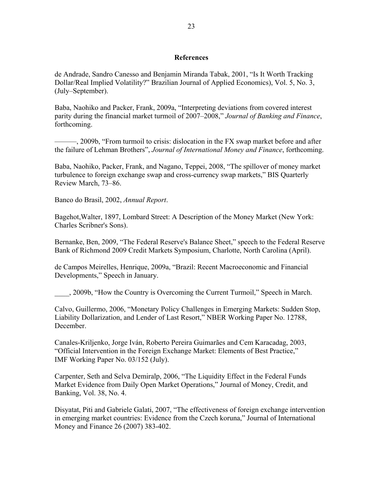#### **References**

de Andrade, Sandro Canesso and Benjamin Miranda Tabak, 2001, "Is It Worth Tracking Dollar/Real Implied Volatility?" Brazilian Journal of Applied Economics), Vol. 5, No. 3, (July–September).

Baba, Naohiko and Packer, Frank, 2009a, "Interpreting deviations from covered interest parity during the financial market turmoil of 2007–2008," *Journal of Banking and Finance*, forthcoming.

———, 2009b, "From turmoil to crisis: dislocation in the FX swap market before and after the failure of Lehman Brothers", *Journal of International Money and Finance*, forthcoming.

Baba, Naohiko, Packer, Frank, and Nagano, Teppei, 2008, "The spillover of money market turbulence to foreign exchange swap and cross-currency swap markets," BIS Quarterly Review March, 73–86.

Banco do Brasil, 2002, *Annual Report*.

Bagehot,Walter, 1897, Lombard Street: A Description of the Money Market (New York: Charles Scribner's Sons).

Bernanke, Ben, 2009, "The Federal Reserve's Balance Sheet," speech to the Federal Reserve Bank of Richmond 2009 Credit Markets Symposium, Charlotte, North Carolina (April).

de Campos Meirelles, Henrique, 2009a, "Brazil: Recent Macroeconomic and Financial Developments," Speech in January.

\_\_\_\_, 2009b, "How the Country is Overcoming the Current Turmoil," Speech in March.

Calvo, Guillermo, 2006, "Monetary Policy Challenges in Emerging Markets: Sudden Stop, Liability Dollarization, and Lender of Last Resort," NBER Working Paper No. 12788, December.

Canales-Kriljenko, Jorge Iván, Roberto Pereira Guimarães and Cem Karacadag, 2003, "Official Intervention in the Foreign Exchange Market: Elements of Best Practice," IMF Working Paper No. 03/152 (July).

Carpenter, Seth and Selva Demiralp, 2006, "The Liquidity Effect in the Federal Funds Market Evidence from Daily Open Market Operations," Journal of Money, Credit, and Banking, Vol. 38, No. 4.

Disyatat, Piti and Gabriele Galati, 2007, "The effectiveness of foreign exchange intervention in emerging market countries: Evidence from the Czech koruna," Journal of International Money and Finance 26 (2007) 383-402.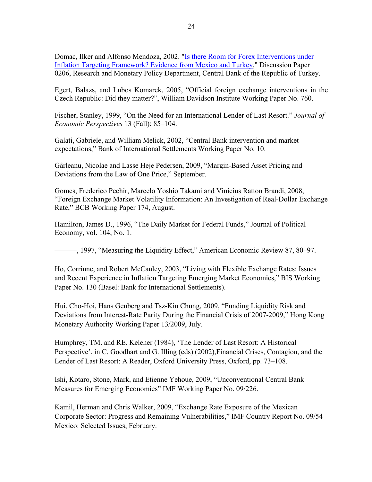Domac, Ilker and Alfonso Mendoza, 2002. "Is there Room for Forex Interventions under Inflation Targeting Framework? Evidence from Mexico and Turkey," Discussion Paper 0206, Research and Monetary Policy Department, Central Bank of the Republic of Turkey.

Egert, Balazs, and Lubos Komarek, 2005, "Official foreign exchange interventions in the Czech Republic: Did they matter?", William Davidson Institute Working Paper No. 760.

Fischer, Stanley, 1999, "On the Need for an International Lender of Last Resort." *Journal of Economic Perspectives* 13 (Fall): 85–104.

Galati, Gabriele, and William Melick, 2002, "Central Bank intervention and market expectations," Bank of International Settlements Working Paper No. 10.

Gârleanu, Nicolae and Lasse Heje Pedersen, 2009, "Margin-Based Asset Pricing and Deviations from the Law of One Price," September.

Gomes, Frederico Pechir, Marcelo Yoshio Takami and Vinicius Ratton Brandi, 2008, "Foreign Exchange Market Volatility Information: An Investigation of Real-Dollar Exchange Rate," BCB Working Paper 174, August.

Hamilton, James D., 1996, "The Daily Market for Federal Funds," Journal of Political Economy, vol. 104, No. 1.

———, 1997, "Measuring the Liquidity Effect," American Economic Review 87, 80–97.

Ho, Corrinne, and Robert McCauley, 2003, "Living with Flexible Exchange Rates: Issues and Recent Experience in Inflation Targeting Emerging Market Economies," BIS Working Paper No. 130 (Basel: Bank for International Settlements).

Hui, Cho-Hoi, Hans Genberg and Tsz-Kin Chung, 2009, "Funding Liquidity Risk and Deviations from Interest-Rate Parity During the Financial Crisis of 2007-2009," Hong Kong Monetary Authority Working Paper 13/2009, July.

Humphrey, TM. and RE. Keleher (1984), 'The Lender of Last Resort: A Historical Perspective', in C. Goodhart and G. Illing (eds) (2002),Financial Crises, Contagion, and the Lender of Last Resort: A Reader, Oxford University Press, Oxford, pp. 73–108.

Ishi, Kotaro, Stone, Mark, and Etienne Yehoue, 2009, "Unconventional Central Bank Measures for Emerging Economies" IMF Working Paper No. 09/226.

Kamil, Herman and Chris Walker, 2009, "Exchange Rate Exposure of the Mexican Corporate Sector: Progress and Remaining Vulnerabilities," IMF Country Report No. 09/54 Mexico: Selected Issues, February.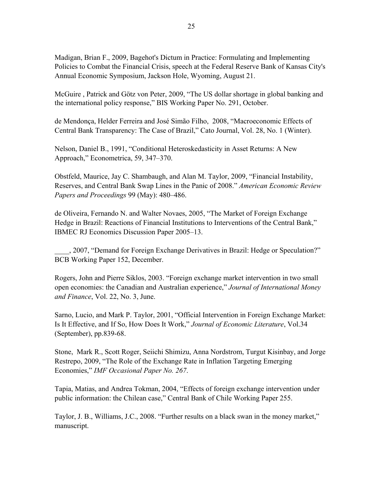Madigan, Brian F., 2009, Bagehot's Dictum in Practice: Formulating and Implementing Policies to Combat the Financial Crisis, speech at the Federal Reserve Bank of Kansas City's Annual Economic Symposium, Jackson Hole, Wyoming, August 21.

McGuire , Patrick and Götz von Peter, 2009, "The US dollar shortage in global banking and the international policy response," BIS Working Paper No. 291, October.

de Mendonça, Helder Ferreira and José Simão Filho, 2008, "Macroeconomic Effects of Central Bank Transparency: The Case of Brazil," Cato Journal, Vol. 28, No. 1 (Winter).

Nelson, Daniel B., 1991, "Conditional Heteroskedasticity in Asset Returns: A New Approach," Econometrica, 59, 347–370.

Obstfeld, Maurice, Jay C. Shambaugh, and Alan M. Taylor, 2009, "Financial Instability, Reserves, and Central Bank Swap Lines in the Panic of 2008." *American Economic Review Papers and Proceedings* 99 (May): 480–486.

de Oliveira, Fernando N. and Walter Novaes, 2005, "The Market of Foreign Exchange Hedge in Brazil: Reactions of Financial Institutions to Interventions of the Central Bank," IBMEC RJ Economics Discussion Paper 2005–13.

\_\_\_\_, 2007, "Demand for Foreign Exchange Derivatives in Brazil: Hedge or Speculation?" BCB Working Paper 152, December.

Rogers, John and Pierre Siklos, 2003. "Foreign exchange market intervention in two small open economies: the Canadian and Australian experience," *Journal of International Money and Finance*, Vol. 22, No. 3, June.

Sarno, Lucio, and Mark P. Taylor, 2001, "Official Intervention in Foreign Exchange Market: Is It Effective, and If So, How Does It Work," *Journal of Economic Literature*, Vol.34 (September), pp.839-68.

Stone, Mark R., Scott Roger, Seiichi Shimizu, Anna Nordstrom, Turgut Kisinbay, and Jorge Restrepo, 2009, "The Role of the Exchange Rate in Inflation Targeting Emerging Economies," *IMF Occasional Paper No. 267*.

Tapia, Matias, and Andrea Tokman, 2004, "Effects of foreign exchange intervention under public information: the Chilean case," Central Bank of Chile Working Paper 255.

Taylor, J. B., Williams, J.C., 2008. "Further results on a black swan in the money market," manuscript.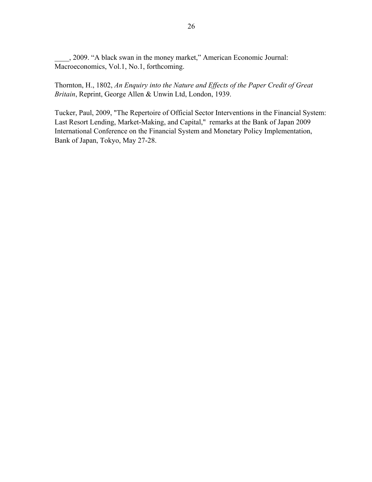\_\_\_\_, 2009. "A black swan in the money market," American Economic Journal: Macroeconomics, Vol.1, No.1, forthcoming.

Thornton, H., 1802, *An Enquiry into the Nature and Effects of the Paper Credit of Great Britain*, Reprint, George Allen & Unwin Ltd, London, 1939.

Tucker, Paul, 2009, "The Repertoire of Official Sector Interventions in the Financial System: Last Resort Lending, Market-Making, and Capital," remarks at the Bank of Japan 2009 International Conference on the Financial System and Monetary Policy Implementation, Bank of Japan, Tokyo, May 27-28.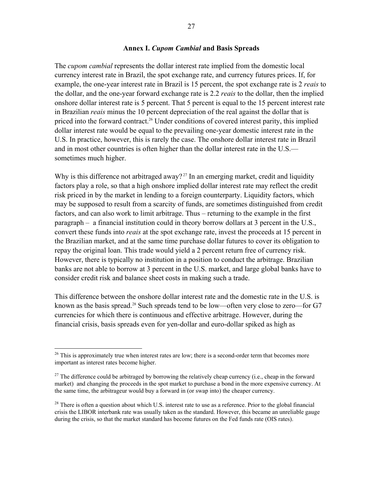#### **Annex I.** *Cupom Cambial* **and Basis Spreads**

The *cupom cambial* represents the dollar interest rate implied from the domestic local currency interest rate in Brazil, the spot exchange rate, and currency futures prices. If, for example, the one-year interest rate in Brazil is 15 percent, the spot exchange rate is 2 *reais* to the dollar, and the one-year forward exchange rate is 2.2 *reais* to the dollar, then the implied onshore dollar interest rate is 5 percent. That 5 percent is equal to the 15 percent interest rate in Brazilian *reais* minus the 10 percent depreciation of the real against the dollar that is priced into the forward contract.<sup>26</sup> Under conditions of covered interest parity, this implied dollar interest rate would be equal to the prevailing one-year domestic interest rate in the U.S. In practice, however, this is rarely the case. The onshore dollar interest rate in Brazil and in most other countries is often higher than the dollar interest rate in the U.S. sometimes much higher.

Why is this difference not arbitraged away?<sup>27</sup> In an emerging market, credit and liquidity factors play a role, so that a high onshore implied dollar interest rate may reflect the credit risk priced in by the market in lending to a foreign counterparty. Liquidity factors, which may be supposed to result from a scarcity of funds, are sometimes distinguished from credit factors, and can also work to limit arbitrage. Thus – returning to the example in the first paragraph – a financial institution could in theory borrow dollars at 3 percent in the U.S., convert these funds into *reais* at the spot exchange rate, invest the proceeds at 15 percent in the Brazilian market, and at the same time purchase dollar futures to cover its obligation to repay the original loan. This trade would yield a 2 percent return free of currency risk. However, there is typically no institution in a position to conduct the arbitrage. Brazilian banks are not able to borrow at 3 percent in the U.S. market, and large global banks have to consider credit risk and balance sheet costs in making such a trade.

This difference between the onshore dollar interest rate and the domestic rate in the U.S. is known as the basis spread.<sup>28</sup> Such spreads tend to be low—often very close to zero—for G7 currencies for which there is continuous and effective arbitrage. However, during the financial crisis, basis spreads even for yen-dollar and euro-dollar spiked as high as

1

 $26$  This is approximately true when interest rates are low; there is a second-order term that becomes more important as interest rates become higher.

<sup>&</sup>lt;sup>27</sup> The difference could be arbitraged by borrowing the relatively cheap currency (i.e., cheap in the forward market) and changing the proceeds in the spot market to purchase a bond in the more expensive currency. At the same time, the arbitrageur would buy a forward in (or swap into) the cheaper currency.

<sup>&</sup>lt;sup>28</sup> There is often a question about which U.S. interest rate to use as a reference. Prior to the global financial crisis the LIBOR interbank rate was usually taken as the standard. However, this became an unreliable gauge during the crisis, so that the market standard has become futures on the Fed funds rate (OIS rates).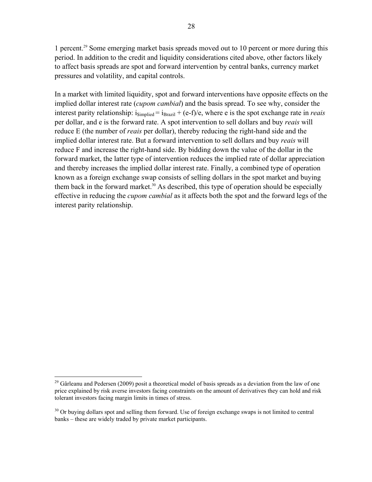1 percent.29 Some emerging market basis spreads moved out to 10 percent or more during this period. In addition to the credit and liquidity considerations cited above, other factors likely to affect basis spreads are spot and forward intervention by central banks, currency market pressures and volatility, and capital controls.

In a market with limited liquidity, spot and forward interventions have opposite effects on the implied dollar interest rate (*cupom cambial*) and the basis spread. To see why, consider the interest parity relationship:  $i_{\text{Simplified}} = i_{\text{Brazil}} + (e-f/e)$ , where e is the spot exchange rate in *reais* per dollar, and e is the forward rate. A spot intervention to sell dollars and buy *reais* will reduce E (the number of *reais* per dollar), thereby reducing the right-hand side and the implied dollar interest rate. But a forward intervention to sell dollars and buy *reais* will reduce F and increase the right-hand side. By bidding down the value of the dollar in the forward market, the latter type of intervention reduces the implied rate of dollar appreciation and thereby increases the implied dollar interest rate. Finally, a combined type of operation known as a foreign exchange swap consists of selling dollars in the spot market and buying them back in the forward market.<sup>30</sup> As described, this type of operation should be especially effective in reducing the *cupom cambial* as it affects both the spot and the forward legs of the interest parity relationship.

1

<sup>&</sup>lt;sup>29</sup> Gârleanu and Pedersen (2009) posit a theoretical model of basis spreads as a deviation from the law of one price explained by risk averse investors facing constraints on the amount of derivatives they can hold and risk tolerant investors facing margin limits in times of stress.

 $30$  Or buying dollars spot and selling them forward. Use of foreign exchange swaps is not limited to central banks – these are widely traded by private market participants.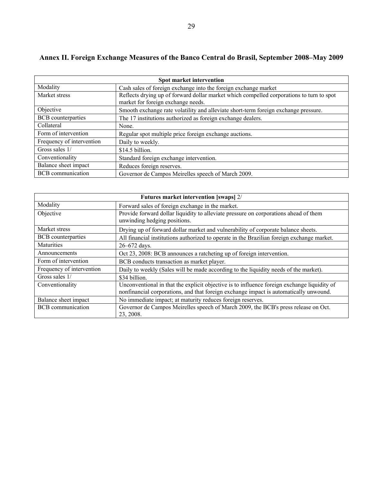# **Annex II. Foreign Exchange Measures of the Banco Central do Brasil, September 2008–May 2009**

| Spot market intervention  |                                                                                                                                |  |  |
|---------------------------|--------------------------------------------------------------------------------------------------------------------------------|--|--|
| Modality                  | Cash sales of foreign exchange into the foreign exchange market                                                                |  |  |
| Market stress             | Reflects drying up of forward dollar market which compelled corporations to turn to spot<br>market for foreign exchange needs. |  |  |
| Objective                 | Smooth exchange rate volatility and alleviate short-term foreign exchange pressure.                                            |  |  |
| <b>BCB</b> counterparties | The 17 institutions authorized as foreign exchange dealers.                                                                    |  |  |
| Collateral                | None.                                                                                                                          |  |  |
| Form of intervention      | Regular spot multiple price foreign exchange auctions.                                                                         |  |  |
| Frequency of intervention | Daily to weekly.                                                                                                               |  |  |
| Gross sales 1/            | \$14.5 billion.                                                                                                                |  |  |
| Conventionality           | Standard foreign exchange intervention.                                                                                        |  |  |
| Balance sheet impact      | Reduces foreign reserves.                                                                                                      |  |  |
| <b>BCB</b> communication  | Governor de Campos Meirelles speech of March 2009.                                                                             |  |  |

| Futures market intervention [swaps] 2/ |                                                                                                                                                                                      |  |  |
|----------------------------------------|--------------------------------------------------------------------------------------------------------------------------------------------------------------------------------------|--|--|
| Modality                               | Forward sales of foreign exchange in the market.                                                                                                                                     |  |  |
| Objective                              | Provide forward dollar liquidity to alleviate pressure on corporations ahead of them<br>unwinding hedging positions.                                                                 |  |  |
| Market stress                          | Drying up of forward dollar market and vulnerability of corporate balance sheets.                                                                                                    |  |  |
| BCB counterparties                     | All financial institutions authorized to operate in the Brazilian foreign exchange market.                                                                                           |  |  |
| Maturities                             | $26 - 672$ days.                                                                                                                                                                     |  |  |
| Announcements                          | Oct 23, 2008: BCB announces a ratcheting up of foreign intervention.                                                                                                                 |  |  |
| Form of intervention                   | BCB conducts transaction as market player.                                                                                                                                           |  |  |
| Frequency of intervention              | Daily to weekly (Sales will be made according to the liquidity needs of the market).                                                                                                 |  |  |
| Gross sales 1/                         | \$34 billion.                                                                                                                                                                        |  |  |
| Conventionality                        | Unconventional in that the explicit objective is to influence foreign exchange liquidity of<br>nonfinancial corporations, and that foreign exchange impact is automatically unwound. |  |  |
| Balance sheet impact                   | No immediate impact; at maturity reduces foreign reserves.                                                                                                                           |  |  |
| <b>BCB</b> communication               | Governor de Campos Meirelles speech of March 2009, the BCB's press release on Oct.                                                                                                   |  |  |
|                                        | 23, 2008.                                                                                                                                                                            |  |  |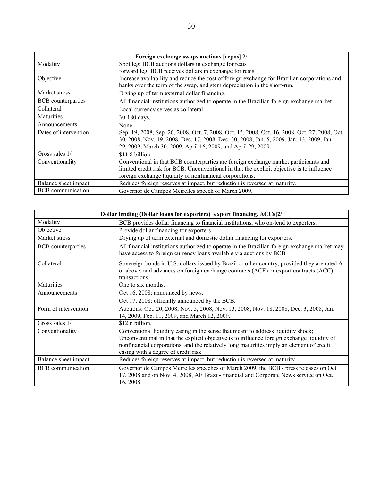| Foreign exchange swaps auctions [repos] 2/ |                                                                                               |  |  |  |
|--------------------------------------------|-----------------------------------------------------------------------------------------------|--|--|--|
| Modality                                   | Spot leg: BCB auctions dollars in exchange for reais                                          |  |  |  |
|                                            | forward leg: BCB receives dollars in exchange for reais                                       |  |  |  |
| Objective                                  | Increase availability and reduce the cost of foreign exchange for Brazilian corporations and  |  |  |  |
|                                            | banks over the term of the swap, and stem depreciation in the short-run.                      |  |  |  |
| Market stress                              | Drying up of term external dollar financing.                                                  |  |  |  |
| <b>BCB</b> counterparties                  | All financial institutions authorized to operate in the Brazilian foreign exchange market.    |  |  |  |
| Collateral                                 | Local currency serves as collateral.                                                          |  |  |  |
| Maturities                                 | 30-180 days.                                                                                  |  |  |  |
| Announcements                              | None.                                                                                         |  |  |  |
| Dates of intervention                      | Sep. 19, 2008, Sep. 26, 2008, Oct. 7, 2008, Oct. 15, 2008, Oct. 16, 2008, Oct. 27, 2008, Oct. |  |  |  |
|                                            | 30, 2008, Nov. 19, 2008, Dec. 17, 2008, Dec. 30, 2008, Jan. 5, 2009, Jan. 13, 2009, Jan.      |  |  |  |
|                                            | 29, 2009, March 30, 2009, April 16, 2009, and April 29, 2009.                                 |  |  |  |
| Gross sales 1/                             | \$11.8 billion.                                                                               |  |  |  |
| Conventionality                            | Conventional in that BCB counterparties are foreign exchange market participants and          |  |  |  |
|                                            | limited credit risk for BCB. Unconventional in that the explicit objective is to influence    |  |  |  |
|                                            | foreign exchange liquidity of nonfinancial corporations.                                      |  |  |  |
| Balance sheet impact                       | Reduces foreign reserves at impact, but reduction is reversed at maturity.                    |  |  |  |
| <b>BCB</b> communication                   | Governor de Campos Meirelles speech of March 2009.                                            |  |  |  |

| Dollar lending (Dollar loans for exporters) [export financing, ACCs]2/ |                                                                                                                                                                                                                                                                                                                      |  |  |
|------------------------------------------------------------------------|----------------------------------------------------------------------------------------------------------------------------------------------------------------------------------------------------------------------------------------------------------------------------------------------------------------------|--|--|
| Modality                                                               | BCB provides dollar financing to financial institutions, who on-lend to exporters.                                                                                                                                                                                                                                   |  |  |
| Objective                                                              | Provide dollar financing for exporters                                                                                                                                                                                                                                                                               |  |  |
| Market stress                                                          | Drying up of term external and domestic dollar financing for exporters.                                                                                                                                                                                                                                              |  |  |
| <b>BCB</b> counterparties                                              | All financial institutions authorized to operate in the Brazilian foreign exchange market may<br>have access to foreign currency loans available via auctions by BCB.                                                                                                                                                |  |  |
| Collateral                                                             | Sovereign bonds in U.S. dollars issued by Brazil or other country, provided they are rated A<br>or above, and advances on foreign exchange contracts (ACE) or export contracts (ACC)<br>transactions.                                                                                                                |  |  |
| Maturities                                                             | One to six months.                                                                                                                                                                                                                                                                                                   |  |  |
| Announcements                                                          | Oct 16, 2008: announced by news.                                                                                                                                                                                                                                                                                     |  |  |
|                                                                        | Oct 17, 2008: officially announced by the BCB.                                                                                                                                                                                                                                                                       |  |  |
| Form of intervention                                                   | Auctions: Oct. 20, 2008, Nov. 5, 2008, Nov. 13, 2008, Nov. 18, 2008, Dec. 3, 2008, Jan.<br>14, 2009, Feb. 11, 2009, and March 12, 2009.                                                                                                                                                                              |  |  |
| Gross sales 1/                                                         | \$12.6 billion.                                                                                                                                                                                                                                                                                                      |  |  |
| Conventionality                                                        | Conventional liquidity easing in the sense that meant to address liquidity shock;<br>Unconventional in that the explicit objective is to influence foreign exchange liquidity of<br>nonfinancial corporations, and the relatively long maturities imply an element of credit<br>easing with a degree of credit risk. |  |  |
| Balance sheet impact                                                   | Reduces foreign reserves at impact, but reduction is reversed at maturity.                                                                                                                                                                                                                                           |  |  |
| <b>BCB</b> communication                                               | Governor de Campos Meirelles speeches of March 2009, the BCB's press releases on Oct.<br>17, 2008 and on Nov. 4, 2008, AE Brazil-Financial and Corporate News service on Oct.<br>16, 2008.                                                                                                                           |  |  |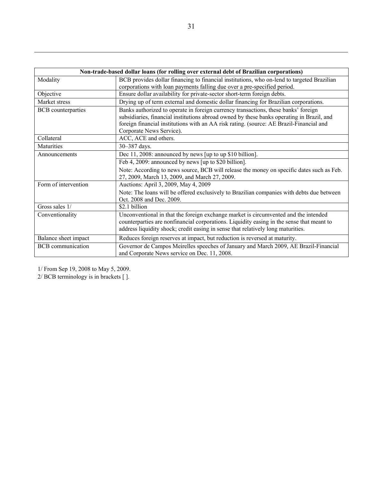|                           | Non-trade-based dollar loans (for rolling over external debt of Brazilian corporations)                                                                                                                                                                                    |
|---------------------------|----------------------------------------------------------------------------------------------------------------------------------------------------------------------------------------------------------------------------------------------------------------------------|
| Modality                  | BCB provides dollar financing to financial institutions, who on-lend to targeted Brazilian                                                                                                                                                                                 |
|                           | corporations with loan payments falling due over a pre-specified period.                                                                                                                                                                                                   |
| Objective                 | Ensure dollar availability for private-sector short-term foreign debts.                                                                                                                                                                                                    |
| Market stress             | Drying up of term external and domestic dollar financing for Brazilian corporations.                                                                                                                                                                                       |
| <b>BCB</b> counterparties | Banks authorized to operate in foreign currency transactions, these banks' foreign<br>subsidiaries, financial institutions abroad owned by these banks operating in Brazil, and<br>foreign financial institutions with an AA risk rating. (source: AE Brazil-Financial and |
|                           | Corporate News Service).                                                                                                                                                                                                                                                   |
| Collateral                | ACC, ACE and others.                                                                                                                                                                                                                                                       |
| Maturities                | 30-387 days.                                                                                                                                                                                                                                                               |
| Announcements             | Dec 11, 2008: announced by news [up to up \$10 billion].                                                                                                                                                                                                                   |
|                           | Feb 4, 2009: announced by news [up to \$20 billion].                                                                                                                                                                                                                       |
|                           | Note: According to news source, BCB will release the money on specific dates such as Feb.<br>27, 2009, March 13, 2009, and March 27, 2009.                                                                                                                                 |
| Form of intervention      | Auctions: April 3, 2009, May 4, 2009                                                                                                                                                                                                                                       |
|                           | Note: The loans will be offered exclusively to Brazilian companies with debts due between<br>Oct. 2008 and Dec. 2009.                                                                                                                                                      |
| Gross sales 1/            | \$2.1 billion                                                                                                                                                                                                                                                              |
| Conventionality           | Unconventional in that the foreign exchange market is circumvented and the intended<br>counterparties are nonfinancial corporations. Liquidity easing in the sense that meant to<br>address liquidity shock; credit easing in sense that relatively long maturities.       |
| Balance sheet impact      | Reduces foreign reserves at impact, but reduction is reversed at maturity.                                                                                                                                                                                                 |
| <b>BCB</b> communication  | Governor de Campos Meirelles speeches of January and March 2009, AE Brazil-Financial<br>and Corporate News service on Dec. 11, 2008.                                                                                                                                       |

1/ From Sep 19, 2008 to May 5, 2009.

2/ BCB terminology is in brackets [ ].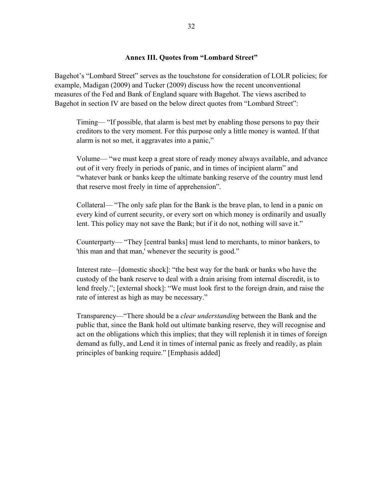### **Annex III. Quotes from "Lombard Street"**

Bagehot's "Lombard Street" serves as the touchstone for consideration of LOLR policies; for example, Madigan (2009) and Tucker (2009) discuss how the recent unconventional measures of the Fed and Bank of England square with Bagehot. The views ascribed to Bagehot in section IV are based on the below direct quotes from "Lombard Street":

Timing— "If possible, that alarm is best met by enabling those persons to pay their creditors to the very moment. For this purpose only a little money is wanted. If that alarm is not so met, it aggravates into a panic,"

Volume— "we must keep a great store of ready money always available, and advance out of it very freely in periods of panic, and in times of incipient alarm" and "whatever bank or banks keep the ultimate banking reserve of the country must lend that reserve most freely in time of apprehension".

Collateral— "The only safe plan for the Bank is the brave plan, to lend in a panic on every kind of current security, or every sort on which money is ordinarily and usually lent. This policy may not save the Bank; but if it do not, nothing will save it."

Counterparty— "They [central banks] must lend to merchants, to minor bankers, to 'this man and that man,' whenever the security is good."

Interest rate—[domestic shock]: "the best way for the bank or banks who have the custody of the bank reserve to deal with a drain arising from internal discredit, is to lend freely."; [external shock]: "We must look first to the foreign drain, and raise the rate of interest as high as may be necessary."

Transparency—"There should be a *clear understanding* between the Bank and the public that, since the Bank hold out ultimate banking reserve, they will recognise and act on the obligations which this implies; that they will replenish it in times of foreign demand as fully, and Lend it in times of internal panic as freely and readily, as plain principles of banking require." [Emphasis added]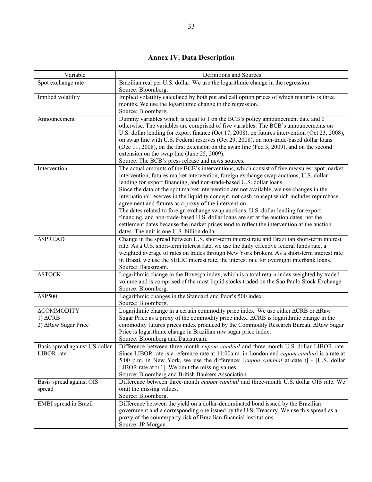# **Annex IV. Data Description**

| Variable                                                    | Definitions and Sources                                                                                                                                                                                                                                                                                                                                                                                                                                                                                                                                                                                                                                                                                                                                                                                                                      |
|-------------------------------------------------------------|----------------------------------------------------------------------------------------------------------------------------------------------------------------------------------------------------------------------------------------------------------------------------------------------------------------------------------------------------------------------------------------------------------------------------------------------------------------------------------------------------------------------------------------------------------------------------------------------------------------------------------------------------------------------------------------------------------------------------------------------------------------------------------------------------------------------------------------------|
| Spot exchange rate                                          | Brazilian real per U.S. dollar. We use the logarithmic change in the regression.<br>Source: Bloomberg.                                                                                                                                                                                                                                                                                                                                                                                                                                                                                                                                                                                                                                                                                                                                       |
| Implied volatility                                          | Implied volatility calculated by both put and call option prices of which maturity is three<br>months. We use the logarithmic change in the regression.<br>Source: Bloomberg.                                                                                                                                                                                                                                                                                                                                                                                                                                                                                                                                                                                                                                                                |
| Announcement                                                | Dummy variables which is equal to 1 on the BCB's policy announcement date and 0<br>otherwise. The variables are comprised of five variables: The BCB's announcements on<br>U.S. dollar lending for export finance (Oct 17, 2008), on futures intervention (Oct 23, 2008),<br>on swap line with U.S. Federal reserves (Oct 29, 2008), on non-trade-based dollar loans<br>(Dec 11, 2008), on the first extension on the swap line (Fed 3, 2009), and on the second<br>extension on the swap line (June 25, 2009).<br>Source: The BCB's press release and news sources.                                                                                                                                                                                                                                                                         |
| Intervention                                                | The actual amounts of the BCB's interventions, which consist of five measures: spot market<br>intervention, futures market intervention, foreign exchange swap auctions, U.S. dollar<br>lending for export financing, and non-trade-based U.S. dollar loans.<br>Since the data of the spot market intervention are not available, we use changes in the<br>international reserves in the liquidity concept, not cash concept which includes repurchase<br>agreement and futures as a proxy of the intervention<br>The dates related to foreign exchange swap auctions, U.S. dollar lending for export<br>financing, and non-trade-based U.S. dollar loans are set at the auction dates, not the<br>settlement dates because the market prices tend to reflect the intervention at the auction<br>dates. The unit is one U.S. billion dollar. |
| <b>ASPREAD</b>                                              | Change in the spread between U.S. short-term interest rate and Brazilian short-term interest<br>rate. As a U.S. short-term interest rate, we use the daily effective federal funds rate, a<br>weighted average of rates on trades through New York brokers. As a short-term interest rate<br>in Brazil, we use the SELIC interest rate, the interest rate for overnight interbank loans.<br>Source: Datastream.                                                                                                                                                                                                                                                                                                                                                                                                                              |
| $\Delta \text{STOCK}$                                       | Logarithmic change in the Bovespa index, which is a total return index weighted by traded<br>volume and is comprised of the most liquid stocks traded on the Sao Paulo Stock Exchange.<br>Source: Bloomberg.                                                                                                                                                                                                                                                                                                                                                                                                                                                                                                                                                                                                                                 |
| $\Delta$ SP500                                              | Logarithmic changes in the Standard and Poor's 500 index.<br>Source: Bloomberg.                                                                                                                                                                                                                                                                                                                                                                                                                                                                                                                                                                                                                                                                                                                                                              |
| <b>ACOMMODITY</b><br>$1) \Delta CRB$<br>2) ΔRaw Sugar Price | Logarithmic change in a certain commodity price index. We use either $\triangle$ CRB or $\triangle$ Raw<br>Sugar Price as a proxy of the commodity price index. ACRB is logarithmic change in the<br>commodity futures prices index produced by the Commodity Research Bureau. ARaw Sugar<br>Price is logarithmic change in Brazilian raw sugar price index.<br>Source: Bloomberg and Datastream.                                                                                                                                                                                                                                                                                                                                                                                                                                            |
| Basis spread against US dollar<br>LIBOR rate                | Difference between three-month <i>cupom cambial</i> and three-month U.S. dollar LIBOR rate.<br>Since LIBOR rate is a reference rate at 11:00a.m. in London and <i>cupom cambial</i> is a rate at<br>5:00 p.m. in New York, we use the difference: [cupon cambial at date t] - [U.S. dollar<br>LIBOR rate at $t+1$ ]. We omit the missing values.<br>Source: Bloomberg and British Bankers Association.                                                                                                                                                                                                                                                                                                                                                                                                                                       |
| Basis spread against OIS<br>spread                          | Difference between three-month <i>cupom cambial</i> and three-month U.S. dollar OIS rate. We<br>omit the missing values.<br>Source: Bloomberg.                                                                                                                                                                                                                                                                                                                                                                                                                                                                                                                                                                                                                                                                                               |
| EMBI spread in Brazil                                       | Difference between the yield on a dollar-denominated bond issued by the Brazilian<br>government and a corresponding one issued by the U.S. Treasury. We use this spread as a<br>proxy of the counterparty risk of Brazilian financial institutions.<br>Source: JP Morgan.                                                                                                                                                                                                                                                                                                                                                                                                                                                                                                                                                                    |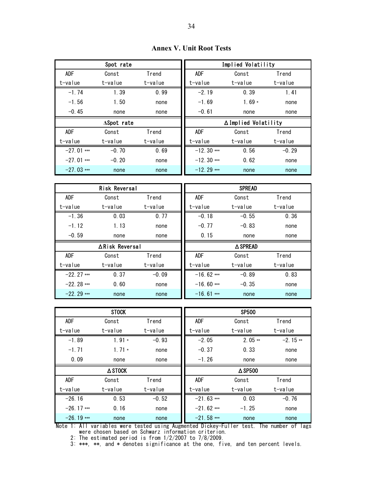|              | Spot rate          |         |              | Implied Volatility   |         |
|--------------|--------------------|---------|--------------|----------------------|---------|
| <b>ADF</b>   | Const              | Trend   | ADF          | Const                | Trend   |
| t-value      | t-value            | t-value | t-value      | t-value              | t-value |
| $-1.74$      | 1.39               | 0.99    | $-2.19$      | 0.39                 | 1.41    |
| $-1.56$      | 1.50               | none    | $-1.69$      | 1.69 $*$             | none    |
| $-0.45$      | none               | none    | $-0.61$      | none                 | none    |
|              | $\Delta$ Spot rate |         |              | ∆ Implied Volatility |         |
| <b>ADF</b>   | Const              | Trend   | <b>ADF</b>   | Const                | Trend   |
| t-value      | t-value            | t-value | t-value      | t-value              | t-value |
| $-27.01$ *** | $-0.70$            | 0.69    | $-12.30$ *** | 0.56                 | $-0.29$ |
| $-27.01$ *** | $-0.20$            | none    | $-12.30$ *** | 0.62                 | none    |

 $-27.03$  \*\*\* none none none -12.29 \*\*\* none none

**Annex V. Unit Root Tests** 

|              | <b>Risk Reversal</b> |         |              | <b>SPREAD</b>   |         |
|--------------|----------------------|---------|--------------|-----------------|---------|
| <b>ADF</b>   | Const                | Trend   | <b>ADF</b>   | Const           | Trend   |
| t-value      | t-value              | t-value | t-value      | t-value         | t-value |
| $-1.36$      | 0.03                 | 0.77    | $-0.18$      | $-0.55$         | 0.36    |
| $-1.12$      | 1.13                 | none    | $-0.77$      | $-0.83$         | none    |
| $-0.59$      | none                 | none    | 0.15         | none            | none    |
|              |                      |         |              |                 |         |
|              | ∆Risk Reversal       |         |              | <b>△ SPREAD</b> |         |
| <b>ADF</b>   | Const                | Trend   | <b>ADF</b>   | Const           | Trend   |
| t-value      | t-value              | t-value | t-value      | t-value         | t-value |
| $-22.27$ *** | 0.37                 | $-0.09$ | $-16.62$ *** | $-0.89$         | 0.83    |
| $-22.28$ *** | 0.60                 | none    | $-16.60$ *** | $-0.35$         | none    |

|              | <b>STOCK</b> |         |              | <b>SP500</b>      |           |
|--------------|--------------|---------|--------------|-------------------|-----------|
| <b>ADF</b>   | Const        | Trend   | ADF          | Const             | Trend     |
| t-value      | t-value      | t-value | t-value      | t-value           | t-value   |
| $-1.89$      | $1.91*$      | $-0.93$ | $-2.05$      | $2.05**$          | $-2.15**$ |
| $-1.71$      | $1.71*$      | none    | $-0.37$      | 0.33              | none      |
| 0.09         | none         | none    | $-1.26$      | none              | none      |
|              | A STOCK      |         |              | $\triangle$ SP500 |           |
| ADF          | Const        | Trend   | <b>ADF</b>   | Const             | Trend     |
| t-value      | t-value      | t-value | t-value      | t-value           | t-value   |
| $-26.16$     | 0.53         | $-0.52$ | $-21.63$ *** | 0.03              | $-0.76$   |
| $-26.17$ *** | 0.16         | none    | $-21.62$ *** | $-1.25$           | none      |
| $-26.19$ *** | none         | none    | $-21.58$ *** | none              | none      |

Note 1: All variables were tested using Augmented Dickey-Fuller test. The number of lags were chosen based on Schwarz information criterion.

2: The estimated period is from 1/2/2007 to 7/8/2009.

3: \*\*\*, \*\*, and \* denotes significance at the one, five, and ten percent levels.